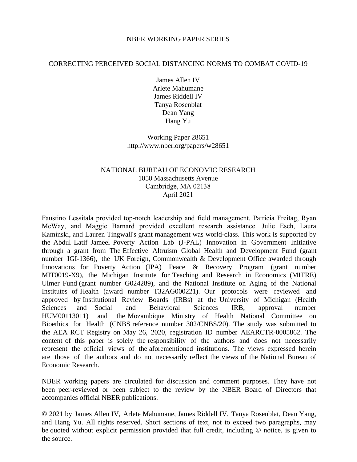### NBER WORKING PAPER SERIES

### CORRECTING PERCEIVED SOCIAL DISTANCING NORMS TO COMBAT COVID-19

James Allen IV Arlete Mahumane James Riddell IV Tanya Rosenblat Dean Yang Hang Yu

Working Paper 28651 http://www.nber.org/papers/w28651

# NATIONAL BUREAU OF ECONOMIC RESEARCH 1050 Massachusetts Avenue Cambridge, MA 02138 April 2021

Faustino Lessitala provided top-notch leadership and field management. Patricia Freitag, Ryan McWay, and Maggie Barnard provided excellent research assistance. Julie Esch, Laura Kaminski, and Lauren Tingwall's grant management was world-class. This work is supported by the Abdul Latif Jameel Poverty Action Lab (J-PAL) Innovation in Government Initiative through a grant from The Effective Altruism Global Health and Development Fund (grant number IGI-1366), the UK Foreign, Commonwealth & Development Office awarded through Innovations for Poverty Action (IPA) Peace & Recovery Program (grant number MIT0019-X9), the Michigan Institute for Teaching and Research in Economics (MITRE) Ulmer Fund (grant number G024289), and the National Institute on Aging of the National Institutes of Health (award number T32AG000221). Our protocols were reviewed and approved by Institutional Review Boards (IRBs) at the University of Michigan (Health Sciences and Social and Behavioral Sciences IRB, approval number HUM00113011) and the Mozambique Ministry of Health National Committee on Bioethics for Health (CNBS reference number 302/CNBS/20). The study was submitted to the AEA RCT Registry on May 26, 2020, registration ID number AEARCTR-0005862. The content of this paper is solely the responsibility of the authors and does not necessarily represent the official views of the aforementioned institutions. The views expressed herein are those of the authors and do not necessarily reflect the views of the National Bureau of Economic Research.

NBER working papers are circulated for discussion and comment purposes. They have not been peer-reviewed or been subject to the review by the NBER Board of Directors that accompanies official NBER publications.

© 2021 by James Allen IV, Arlete Mahumane, James Riddell IV, Tanya Rosenblat, Dean Yang, and Hang Yu. All rights reserved. Short sections of text, not to exceed two paragraphs, may be quoted without explicit permission provided that full credit, including © notice, is given to the source.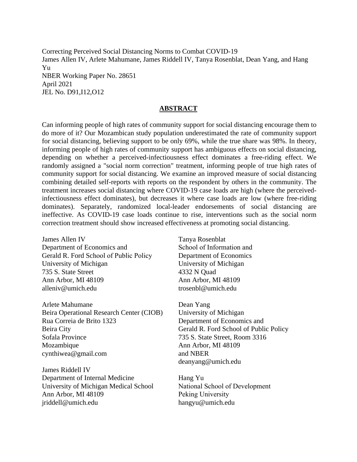Correcting Perceived Social Distancing Norms to Combat COVID-19 James Allen IV, Arlete Mahumane, James Riddell IV, Tanya Rosenblat, Dean Yang, and Hang Yu NBER Working Paper No. 28651 April 2021 JEL No. D91,I12,O12

### **ABSTRACT**

Can informing people of high rates of community support for social distancing encourage them to do more of it? Our Mozambican study population underestimated the rate of community support for social distancing, believing support to be only 69%, while the true share was 98%. In theory, informing people of high rates of community support has ambiguous effects on social distancing, depending on whether a perceived-infectiousness effect dominates a free-riding effect. We randomly assigned a "social norm correction" treatment, informing people of true high rates of community support for social distancing. We examine an improved measure of social distancing combining detailed self-reports with reports on the respondent by others in the community. The treatment increases social distancing where COVID-19 case loads are high (where the perceivedinfectiousness effect dominates), but decreases it where case loads are low (where free-riding dominates). Separately, randomized local-leader endorsements of social distancing are ineffective. As COVID-19 case loads continue to rise, interventions such as the social norm correction treatment should show increased effectiveness at promoting social distancing.

James Allen IV University of Michigan 735 S. State Street Ann Arbor, MI 48109 alleniv@umich.edu Department of Economics and Gerald R. Ford School of Public Policy

Arlete Mahumane Beira Operational Research Center (CIOB) Rua Correia de Brito 1323 Beira City Sofala Province Mozambique cynthiwea@gmail.com

James Riddell IV Department of Internal Medicine University of Michigan Medical School Ann Arbor, MI 48109 jriddell@umich.edu

Tanya Rosenblat School of Information and Department of Economics University of Michigan 4332 N Quad Ann Arbor, MI 48109 trosenbl@umich.edu

Dean Yang University of Michigan Department of Economics and Gerald R. Ford School of Public Policy 735 S. State Street, Room 3316 Ann Arbor, MI 48109 and NBER deanyang@umich.edu

Hang Yu National School of Development Peking University hangyu@umich.edu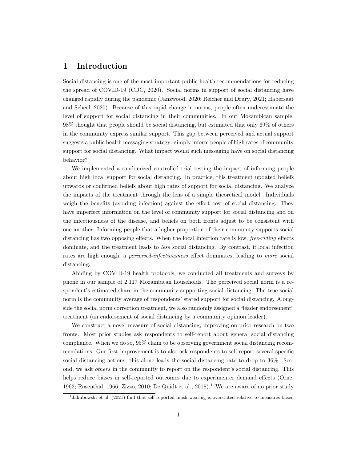# 1 Introduction

Social distancing is one of the most important public health recommendations for reducing the spread of COVID-19 [\(CDC, 2020\)](#page-17-0). Social norms in support of social distancing have changed rapidly during the pandemic [\(Janzwood, 2020;](#page-18-0) [Reicher and Drury, 2021;](#page-18-1) [Habersaat](#page-17-1) [and Scheel, 2020\)](#page-17-1). Because of this rapid change in norms, people often underestimate the level of support for social distancing in their communities. In our Mozambican sample, 98% thought that people should be social distancing, but estimated that only 69% of others in the community express similar support. This gap between perceived and actual support suggests a public health messaging strategy: simply inform people of high rates of community support for social distancing. What impact would such messaging have on social distancing behavior?

We implemented a randomized controlled trial testing the impact of informing people about high local support for social distancing. In practice, this treatment updated beliefs upwards or confirmed beliefs about high rates of support for social distancing. We analyze the impacts of the treatment through the lens of a simple theoretical model. Individuals weigh the benefits (avoiding infection) against the effort cost of social distancing. They have imperfect information on the level of community support for social distancing and on the infectiousness of the disease, and beliefs on both fronts adjust to be consistent with one another. Informing people that a higher proportion of their community supports social distancing has two opposing effects. When the local infection rate is low, *free-riding* effects dominate, and the treatment leads to less social distancing. By contrast, if local infection rates are high enough, a *perceived-infectiousness* effect dominates, leading to *more* social distancing.

Abiding by COVID-19 health protocols, we conducted all treatments and surveys by phone in our sample of 2,117 Mozambican households. The perceived social norm is a respondent's estimated share in the community supporting social distancing. The true social norm is the community average of respondents' stated support for social distancing. Alongside the social norm correction treatment, we also randomly assigned a "leader endorsement" treatment (an endorsement of social distancing by a community opinion leader).

We construct a novel measure of social distancing, improving on prior research on two fronts. Most prior studies ask respondents to self-report about general social distancing compliance. When we do so, 95% claim to be observing government social distancing recommendations. Our first improvement is to also ask respondents to self-report several specific social distancing actions; this alone leads the social distancing rate to drop to 36%. Second, we ask others in the community to report on the respondent's social distancing. This helps reduce biases in self-reported outcomes due to experimenter demand effects [\(Orne,](#page-18-2) [1962;](#page-18-2) [Rosenthal, 1966;](#page-18-3) [Zizzo, 2010;](#page-19-0) [De Quidt et al., 2018\)](#page-17-2).<sup>[1](#page-2-0)</sup> We are aware of no prior study

<span id="page-2-0"></span><sup>1</sup>[Jakubowski et al.](#page-18-4) [\(2021\)](#page-18-4) find that self-reported mask wearing is overstated relative to measures based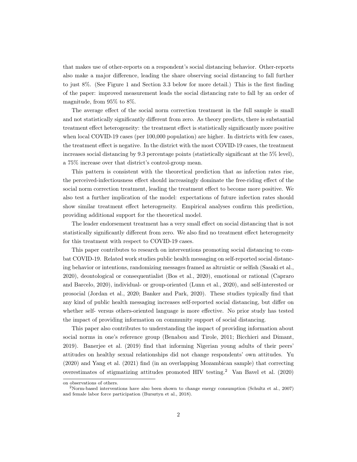that makes use of other-reports on a respondent's social distancing behavior. Other-reports also make a major difference, leading the share observing social distancing to fall further to just 8%. (See Figure [1](#page-20-0) and Section [3.3](#page-9-0) below for more detail.) This is the first finding of the paper: improved measurement leads the social distancing rate to fall by an order of magnitude, from 95% to 8%.

The average effect of the social norm correction treatment in the full sample is small and not statistically significantly different from zero. As theory predicts, there is substantial treatment effect heterogeneity: the treatment effect is statistically significantly more positive when local COVID-19 cases (per 100,000 population) are higher. In districts with few cases, the treatment effect is negative. In the district with the most COVID-19 cases, the treatment increases social distancing by 9.3 percentage points (statistically significant at the 5% level), a 75% increase over that district's control-group mean.

This pattern is consistent with the theoretical prediction that as infection rates rise, the perceived-infectiousness effect should increasingly dominate the free-riding effect of the social norm correction treatment, leading the treatment effect to become more positive. We also test a further implication of the model: expectations of future infection rates should show similar treatment effect heterogeneity. Empirical analyses confirm this prediction, providing additional support for the theoretical model.

The leader endorsement treatment has a very small effect on social distancing that is not statistically significantly different from zero. We also find no treatment effect heterogeneity for this treatment with respect to COVID-19 cases.

This paper contributes to research on interventions promoting social distancing to combat COVID-19. Related work studies public health messaging on self-reported social distancing behavior or intentions, randomizing messages framed as altruistic or selfish [\(Sasaki et al.,](#page-18-5) [2020\)](#page-18-5), deontological or consequentialist [\(Bos et al., 2020\)](#page-17-3), emotional or rational [\(Capraro](#page-17-4) [and Barcelo, 2020\)](#page-17-4), individual- or group-oriented [\(Lunn et al., 2020\)](#page-18-6), and self-interested or prosocial [\(Jordan et al., 2020;](#page-18-7) [Banker and Park, 2020\)](#page-17-5). These studies typically find that any kind of public health messaging increases self-reported social distancing, but differ on whether self- versus others-oriented language is more effective. No prior study has tested the impact of providing information on community support of social distancing.

This paper also contributes to understanding the impact of providing information about social norms in one's reference group [\(Benabou and Tirole, 2011;](#page-17-6) [Bicchieri and Dimant,](#page-17-7) [2019\)](#page-17-7). [Banerjee et al.](#page-17-8) [\(2019\)](#page-17-8) find that informing Nigerian young adults of their peers' attitudes on healthy sexual relationships did not change respondents' own attitudes. [Yu](#page-19-1) [\(2020\)](#page-19-1) and [Yang et al.](#page-19-2) [\(2021\)](#page-19-2) find (in an overlapping Mozambican sample) that correcting overestimates of stigmatizing attitudes promoted HIV testing.[2](#page-3-0) [Van Bavel et al.](#page-19-3) [\(2020\)](#page-19-3)

on observations of others.

<span id="page-3-0"></span><sup>&</sup>lt;sup>2</sup>Norm-based interventions have also been shown to change energy consumption [\(Schultz et al., 2007\)](#page-19-4) and female labor force participation [\(Bursztyn et al., 2018\)](#page-17-9).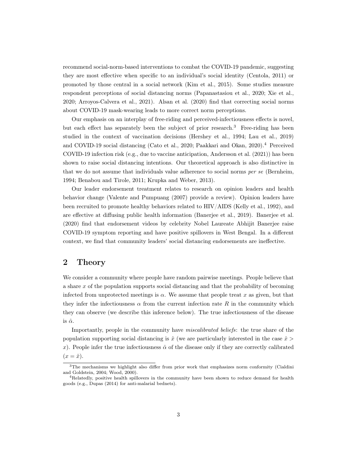recommend social-norm-based interventions to combat the COVID-19 pandemic, suggesting they are most effective when specific to an individual's social identity [\(Centola, 2011\)](#page-17-10) or promoted by those central in a social network [\(Kim et al., 2015\)](#page-18-8). Some studies measure respondent perceptions of social distancing norms [\(Papanastasiou et al., 2020;](#page-18-9) [Xie et al.,](#page-19-5) [2020;](#page-19-5) [Arroyos-Calvera et al., 2021\)](#page-17-11). [Alsan et al.](#page-17-12) [\(2020\)](#page-17-12) find that correcting social norms about COVID-19 mask-wearing leads to more correct norm perceptions.

Our emphasis on an interplay of free-riding and perceived-infectiousness effects is novel, but each effect has separately been the subject of prior research.[3](#page-4-0) Free-riding has been studied in the context of vaccination decisions [\(Hershey et al., 1994;](#page-18-10) [Lau et al., 2019\)](#page-18-11) and COVID-19 social distancing [\(Cato et al., 2020;](#page-17-13) [Paakkari and Okan, 2020\)](#page-18-12).[4](#page-4-1) Perceived COVID-19 infection risk (e.g., due to vaccine anticipation, [Andersson et al.](#page-17-14) [\(2021\)](#page-17-14)) has been shown to raise social distancing intentions. Our theoretical approach is also distinctive in that we do not assume that individuals value adherence to social norms per se [\(Bernheim,](#page-17-15) [1994;](#page-17-15) [Benabou and Tirole, 2011;](#page-17-6) [Krupka and Weber, 2013\)](#page-18-13).

Our leader endorsement treatment relates to research on opinion leaders and health behavior change [\(Valente and Pumpuang](#page-19-6) [\(2007\)](#page-19-6) provide a review). Opinion leaders have been recruited to promote healthy behaviors related to HIV/AIDS [\(Kelly et al., 1992\)](#page-18-14), and are effective at diffusing public health information [\(Banerjee et al., 2019\)](#page-17-16). [Banerjee et al.](#page-17-17) [\(2020\)](#page-17-17) find that endorsement videos by celebrity Nobel Laureate Abhijit Banerjee raise COVID-19 symptom reporting and have positive spillovers in West Bengal. In a different context, we find that community leaders' social distancing endorsements are ineffective.

# 2 Theory

We consider a community where people have random pairwise meetings. People believe that a share x of the population supports social distancing and that the probability of becoming infected from unprotected meetings is  $\alpha$ . We assume that people treat x as given, but that they infer the infectiousness  $\alpha$  from the current infection rate R in the community which they can observe (we describe this inference below). The true infectiousness of the disease is  $\hat{\alpha}$ .

Importantly, people in the community have miscalibrated beliefs: the true share of the population supporting social distancing is  $\hat{x}$  (we are particularly interested in the case  $\hat{x}$ ) x). People infer the true infectiousness  $\hat{\alpha}$  of the disease only if they are correctly calibrated  $(x = \hat{x}).$ 

<span id="page-4-0"></span><sup>&</sup>lt;sup>3</sup>The mechanisms we highlight also differ from prior work that emphasizes norm conformity [\(Cialdini](#page-17-18) [and Goldstein, 2004;](#page-17-18) [Wood, 2000\)](#page-19-7).

<span id="page-4-1"></span><sup>4</sup>Relatedly, positive health spillovers in the community have been shown to reduce demand for health goods (e.g., [Dupas](#page-17-19) [\(2014\)](#page-17-19) for anti-malarial bednets).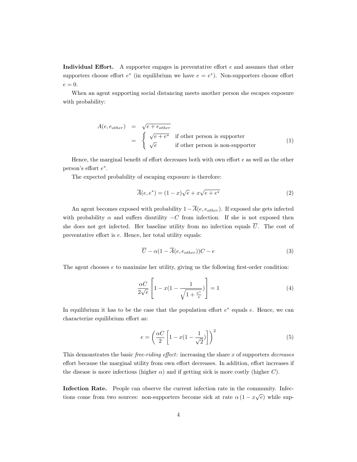Individual Effort. A supporter engages in preventative effort  $e$  and assumes that other supporters choose effort  $e^*$  (in equilibrium we have  $e = e^*$ ). Non-supporters choose effort  $e=0.$ 

When an agent supporting social distancing meets another person she escapes exposure with probability:

$$
A(e, e_{other}) = \sqrt{e + e_{other}}
$$
  
= 
$$
\begin{cases} \sqrt{e + e^*} & \text{if other person is supporter} \\ \sqrt{e} & \text{if other person is non-supporter} \end{cases}
$$
 (1)

Hence, the marginal benefit of effort decreases both with own effort  $e$  as well as the other person's effort  $e^*$ .

The expected probability of escaping exposure is therefore:

$$
\overline{A}(e, e^*) = (1 - x)\sqrt{e} + x\sqrt{e + e^*}
$$
\n(2)

An agent becomes exposed with probability  $1-\overline{A}(e, e_{other})$ . If exposed she gets infected with probability  $\alpha$  and suffers disutility  $-C$  from infection. If she is not exposed then she does not get infected. Her baseline utility from no infection equals  $\overline{U}$ . The cost of preventative effort is e. Hence, her total utility equals:

$$
\overline{U} - \alpha (1 - \overline{A}(e, e_{other}))C - e \tag{3}
$$

The agent chooses  $e$  to maximize her utility, giving us the following first-order condition:

$$
\frac{\alpha C}{2\sqrt{e}} \left[ 1 - x(1 - \frac{1}{\sqrt{1 + \frac{e^*}{e}}}) \right] = 1
$$
\n(4)

In equilibrium it has to be the case that the population effort  $e^*$  equals  $e$ . Hence, we can characterize equilibrium effort as:

<span id="page-5-0"></span>
$$
e = \left(\frac{\alpha C}{2} \left[1 - x(1 - \frac{1}{\sqrt{2}})\right]\right)^2\tag{5}
$$

This demonstrates the basic *free-riding effect*: increasing the share  $x$  of supporters *decreases* effort because the marginal utility from own effort decreases. In addition, effort increases if the disease is more infectious (higher  $\alpha$ ) and if getting sick is more costly (higher C).

Infection Rate. People can observe the current infection rate in the community. Infections come from two sources: non-supporters become sick at rate  $\alpha (1 - x\sqrt{e})$  while sup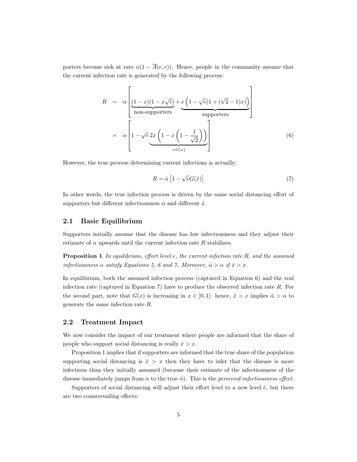porters become sick at rate  $\alpha(1 - \overline{A}(e, e))$ . Hence, people in the community assume that the current infection rate is generated by the following process:

<span id="page-6-0"></span>
$$
R = \alpha \left[ \underbrace{(1-x)(1-x\sqrt{e})}_{\text{non-supports}} + \underbrace{x \left(1-\sqrt{e}(1+(\sqrt{2}-1)x)\right)}_{\text{supporters}} \right]
$$
\n
$$
= \alpha \left[ 1 - \sqrt{e} \underbrace{2x \left(1-x\left(1-\frac{1}{\sqrt{2}}\right)\right)}_{=G(x)} \right]
$$
\n(6)

However, the true process determining current infections is actually:

<span id="page-6-2"></span><span id="page-6-1"></span>
$$
R = \hat{\alpha} \left[ 1 - \sqrt{e} G(\hat{x}) \right] \tag{7}
$$

In other words, the true infection process is driven by the same social distancing effort of supporters but different infectiousness  $\hat{\alpha}$  and different  $\hat{x}$ .

#### 2.1 Basic Equilibrium

Supporters initially assume that the disease has low infectiousness and they adjust their estimate of  $\alpha$  upwards until the current infection rate R stabilizes.

**Proposition 1** In equilibrium, effort level e, the current infection rate  $R$ , and the assumed infectiousness  $\alpha$  satisfy Equations [5,](#page-5-0) [6](#page-6-0) and [7.](#page-6-1) Moreover,  $\hat{\alpha} > \alpha$  if  $\hat{x} > x$ .

In equilibrium, both the assumed infection process (captured in Equation [6\)](#page-6-0) and the real infection rate (captured in Equation [7\)](#page-6-1) have to produce the observed infection rate  $R$ . For the second part, note that  $G(x)$  is increasing in  $x \in [0,1]$ : hence,  $\hat{x} > x$  implies  $\hat{\alpha} > \alpha$  to generate the same infection rate R.

#### 2.2 Treatment Impact

We now consider the impact of our treatment where people are informed that the share of people who support social distancing is really  $\hat{x} > x$ .

Proposition [1](#page-6-2) implies that if supporters are informed that the true share of the population supporting social distancing is  $\hat{x} > x$  then they have to infer that the disease is more infectious than they initially assumed (because their estimate of the infectiousness of the disease immediately jumps from  $\alpha$  to the true  $\hat{\alpha}$ ). This is the *perceived-infectiousness effect*.

Supporters of social distancing will adjust their effort level to a new level  $\hat{e}$ , but there are two countervailing effects: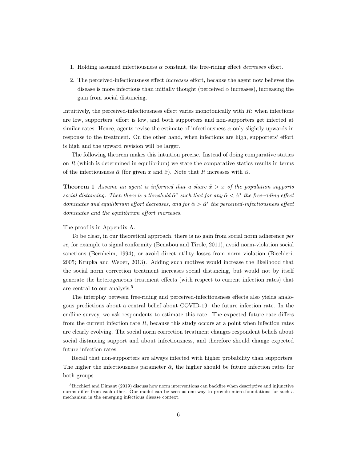- 1. Holding assumed infectiousness  $\alpha$  constant, the free-riding effect *decreases* effort.
- 2. The perceived-infectiousness effect increases effort, because the agent now believes the disease is more infectious than initially thought (perceived  $\alpha$  increases), increasing the gain from social distancing.

Intuitively, the perceived-infectiousness effect varies monotonically with  $R$ : when infections are low, supporters' effort is low, and both supporters and non-supporters get infected at similar rates. Hence, agents revise the estimate of infectiousness  $\alpha$  only slightly upwards in response to the treatment. On the other hand, when infections are high, supporters' effort is high and the upward revision will be larger.

The following theorem makes this intuition precise. Instead of doing comparative statics on  $R$  (which is determined in equilibrium) we state the comparative statics results in terms of the infectiousness  $\hat{\alpha}$  (for given x and  $\hat{x}$ ). Note that R increases with  $\hat{\alpha}$ .

<span id="page-7-1"></span>**Theorem 1** Assume an agent is informed that a share  $\tilde{x} > x$  of the population supports social distancing. Then there is a threshold  $\hat{\alpha}^*$  such that for any  $\hat{\alpha} < \hat{\alpha}^*$  the free-riding effect dominates and equilibrium effort decreases, and for  $\hat{\alpha} > \hat{\alpha}^*$  the perceived-infectiousness effect dominates and the equilibrium effort increases.

#### The proof is in Appendix [A.](#page-24-0)

To be clear, in our theoretical approach, there is no gain from social norm adherence per se, for example to signal conformity [\(Benabou and Tirole, 2011\)](#page-17-6), avoid norm-violation social sanctions [\(Bernheim, 1994\)](#page-17-15), or avoid direct utility losses from norm violation [\(Bicchieri,](#page-17-20) [2005;](#page-17-20) [Krupka and Weber, 2013\)](#page-18-13). Adding such motives would increase the likelihood that the social norm correction treatment increases social distancing, but would not by itself generate the heterogeneous treatment effects (with respect to current infection rates) that are central to our analysis.[5](#page-7-0)

The interplay between free-riding and perceived-infectiousness effects also yields analogous predictions about a central belief about COVID-19: the future infection rate. In the endline survey, we ask respondents to estimate this rate. The expected future rate differs from the current infection rate  $R$ , because this study occurs at a point when infection rates are clearly evolving. The social norm correction treatment changes respondent beliefs about social distancing support and about infectiousness, and therefore should change expected future infection rates.

Recall that non-supporters are always infected with higher probability than supporters. The higher the infectiousness parameter  $\hat{\alpha}$ , the higher should be future infection rates for both groups.

<span id="page-7-0"></span> $5Bicchieri$  and Dimant [\(2019\)](#page-17-7) discuss how norm interventions can backfire when descriptive and injunctive norms differ from each other. Our model can be seen as one way to provide micro-foundations for such a mechanism in the emerging infectious disease context.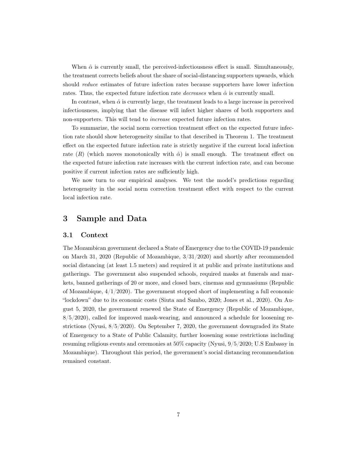When  $\hat{\alpha}$  is currently small, the perceived-infectiousness effect is small. Simultaneously, the treatment corrects beliefs about the share of social-distancing supporters upwards, which should *reduce* estimates of future infection rates because supporters have lower infection rates. Thus, the expected future infection rate *decreases* when  $\hat{\alpha}$  is currently small.

In contrast, when  $\hat{\alpha}$  is currently large, the treatment leads to a large increase in perceived infectiousness, implying that the disease will infect higher shares of both supporters and non-supporters. This will tend to increase expected future infection rates.

To summarize, the social norm correction treatment effect on the expected future infection rate should show heterogeneity similar to that described in Theorem [1.](#page-7-1) The treatment effect on the expected future infection rate is strictly negative if the current local infection rate  $(R)$  (which moves monotonically with  $\hat{\alpha}$ ) is small enough. The treatment effect on the expected future infection rate increases with the current infection rate, and can become positive if current infection rates are sufficiently high.

We now turn to our empirical analyses. We test the model's predictions regarding heterogeneity in the social norm correction treatment effect with respect to the current local infection rate.

# 3 Sample and Data

#### 3.1 Context

The Mozambican government declared a State of Emergency due to the COVID-19 pandemic on March 31, 2020 [\(Republic of Mozambique,](#page-18-15) 3/31/2020) and shortly after recommended social distancing (at least 1.5 meters) and required it at public and private institutions and gatherings. The government also suspended schools, required masks at funerals and markets, banned gatherings of 20 or more, and closed bars, cinemas and gymnasiums [\(Republic](#page-18-16) [of Mozambique,](#page-18-16)  $4/1/2020$ . The government stopped short of implementing a full economic "lockdown" due to its economic costs [\(Siuta and Sambo, 2020;](#page-19-8) [Jones et al., 2020\)](#page-18-17). On August 5, 2020, the government renewed the State of Emergency [\(Republic of Mozambique,](#page-18-18) 8/5/2020), called for improved mask-wearing, and announced a schedule for loosening restrictions [\(Nyusi,](#page-18-19) 8/5/2020). On September 7, 2020, the government downgraded its State of Emergency to a State of Public Calamity, further loosening some restrictions including resuming religious events and ceremonies at 50% capacity [\(Nyusi,](#page-18-20) 9/5/2020; [U.S Embassy in](#page-19-9) [Mozambique\)](#page-19-9). Throughout this period, the government's social distancing recommendation remained constant.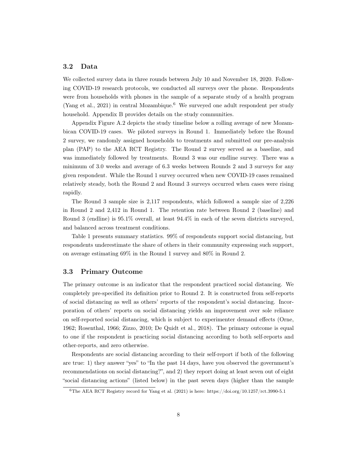#### <span id="page-9-2"></span>3.2 Data

We collected survey data in three rounds between July 10 and November 18, 2020. Following COVID-19 research protocols, we conducted all surveys over the phone. Respondents were from households with phones in the sample of a separate study of a health program [\(Yang et al., 2021\)](#page-19-2) in central Mozambique.<sup>[6](#page-9-1)</sup> We surveyed one adult respondent per study household. Appendix [B](#page-25-0) provides details on the study communities.

Appendix Figure [A.2](#page-21-0) depicts the study timeline below a rolling average of new Mozambican COVID-19 cases. We piloted surveys in Round 1. Immediately before the Round 2 survey, we randomly assigned households to treatments and submitted our pre-analysis plan (PAP) to the AEA RCT Registry. The Round 2 survey served as a baseline, and was immediately followed by treatments. Round 3 was our endline survey. There was a minimum of 3.0 weeks and average of 6.3 weeks between Rounds 2 and 3 surveys for any given respondent. While the Round 1 survey occurred when new COVID-19 cases remained relatively steady, both the Round 2 and Round 3 surveys occurred when cases were rising rapidly.

The Round 3 sample size is 2,117 respondents, which followed a sample size of 2,226 in Round 2 and 2,412 in Round 1. The retention rate between Round 2 (baseline) and Round 3 (endline) is 95.1% overall, at least 94.4% in each of the seven districts surveyed, and balanced across treatment conditions.

Table [1](#page-22-0) presents summary statistics. 99% of respondents support social distancing, but respondents underestimate the share of others in their community expressing such support, on average estimating 69% in the Round 1 survey and 80% in Round 2.

#### <span id="page-9-0"></span>3.3 Primary Outcome

The primary outcome is an indicator that the respondent practiced social distancing. We completely pre-specified its definition prior to Round 2. It is constructed from self-reports of social distancing as well as others' reports of the respondent's social distancing. Incorporation of others' reports on social distancing yields an improvement over sole reliance on self-reported social distancing, which is subject to experimenter demand effects [\(Orne,](#page-18-2) [1962;](#page-18-2) [Rosenthal, 1966;](#page-18-3) [Zizzo, 2010;](#page-19-0) [De Quidt et al., 2018\)](#page-17-2). The primary outcome is equal to one if the respondent is practicing social distancing according to both self-reports and other-reports, and zero otherwise.

Respondents are social distancing according to their self-report if both of the following are true: 1) they answer "yes" to "In the past 14 days, have you observed the government's recommendations on social distancing?", and 2) they report doing at least seven out of eight "social distancing actions" (listed below) in the past seven days (higher than the sample

<span id="page-9-1"></span> $6$ The AEA RCT Registry record for [Yang et al.](#page-19-2) [\(2021\)](#page-19-2) is here:<https://doi.org/10.1257/rct.3990-5.1>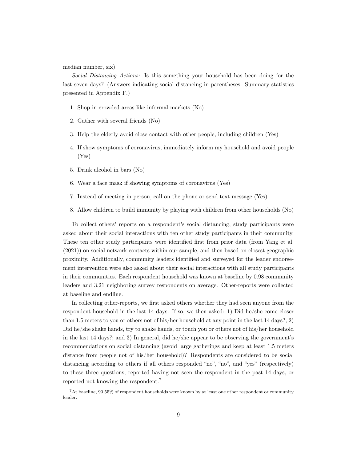median number, six).

Social Distancing Actions: Is this something your household has been doing for the last seven days? (Answers indicating social distancing in parentheses. Summary statistics presented in Appendix [F.](#page-33-0))

- 1. Shop in crowded areas like informal markets (No)
- 2. Gather with several friends (No)
- 3. Help the elderly avoid close contact with other people, including children (Yes)
- 4. If show symptoms of coronavirus, immediately inform my household and avoid people (Yes)
- 5. Drink alcohol in bars (No)
- 6. Wear a face mask if showing symptoms of coronavirus (Yes)
- 7. Instead of meeting in person, call on the phone or send text message (Yes)
- 8. Allow children to build immunity by playing with children from other households (No)

To collect others' reports on a respondent's social distancing, study participants were asked about their social interactions with ten other study participants in their community. These ten other study participants were identified first from prior data (from [Yang et al.](#page-19-2) [\(2021\)](#page-19-2)) on social network contacts within our sample, and then based on closest geographic proximity. Additionally, community leaders identified and surveyed for the leader endorsement intervention were also asked about their social interactions with all study participants in their communities. Each respondent household was known at baseline by 0.98 community leaders and 3.21 neighboring survey respondents on average. Other-reports were collected at baseline and endline.

In collecting other-reports, we first asked others whether they had seen anyone from the respondent household in the last 14 days. If so, we then asked: 1) Did he/she come closer than 1.5 meters to you or others not of his/her household at any point in the last 14 days?; 2) Did he/she shake hands, try to shake hands, or touch you or others not of his/her household in the last 14 days?; and 3) In general, did he/she appear to be observing the government's recommendations on social distancing (avoid large gatherings and keep at least 1.5 meters distance from people not of his/her household)? Respondents are considered to be social distancing according to others if all others responded "no", "no", and "yes" (respectively) to these three questions, reported having not seen the respondent in the past 14 days, or reported not knowing the respondent.[7](#page-10-0)

<span id="page-10-0"></span><sup>7</sup>At baseline, 90.55% of respondent households were known by at least one other respondent or community leader.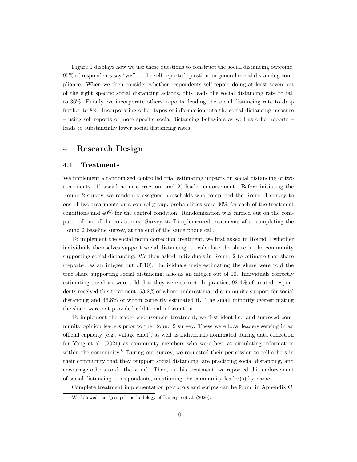Figure [1](#page-20-0) displays how we use these questions to construct the social distancing outcome. 95% of respondents say "yes" to the self-reported question on general social distancing compliance. When we then consider whether respondents self-report doing at least seven out of the eight specific social distancing actions, this leads the social distancing rate to fall to 36%. Finally, we incorporate others' reports, leading the social distancing rate to drop further to 8%. Incorporating other types of information into the social distancing measure – using self-reports of more specific social distancing behaviors as well as other-reports – leads to substantially lower social distancing rates.

# 4 Research Design

#### 4.1 Treatments

We implement a randomized controlled trial estimating impacts on social distancing of two treatments: 1) social norm correction, and 2) leader endorsement. Before initiating the Round 2 survey, we randomly assigned households who completed the Round 1 survey to one of two treatments or a control group; probabilities were 30% for each of the treatment conditions and 40% for the control condition. Randomization was carried out on the computer of one of the co-authors. Survey staff implemented treatments after completing the Round 2 baseline survey, at the end of the same phone call.

To implement the social norm correction treatment, we first asked in Round 1 whether individuals themselves support social distancing, to calculate the share in the community supporting social distancing. We then asked individuals in Round 2 to estimate that share (reported as an integer out of 10). Individuals underestimating the share were told the true share supporting social distancing, also as an integer out of 10. Individuals correctly estimating the share were told that they were correct. In practice, 92.4% of treated respondents received this treatment, 53.2% of whom underestimated community support for social distancing and 46.8% of whom correctly estimated it. The small minority overestimating the share were not provided additional information.

To implement the leader endorsement treatment, we first identified and surveyed community opinion leaders prior to the Round 2 survey. These were local leaders serving in an official capacity (e.g., village chief), as well as individuals nominated during data collection for [Yang et al.](#page-19-2) [\(2021\)](#page-19-2) as community members who were best at circulating information within the community.<sup>[8](#page-11-0)</sup> During our survey, we requested their permission to tell others in their community that they "support social distancing, are practicing social distancing, and encourage others to do the same". Then, in this treatment, we reported this endorsement of social distancing to respondents, mentioning the community leader(s) by name.

Complete treatment implementation protocols and scripts can be found in Appendix [C.](#page-27-0)

<span id="page-11-0"></span><sup>8</sup>We followed the "gossips" methodology of [Banerjee et al.](#page-17-17) [\(2020\)](#page-17-17).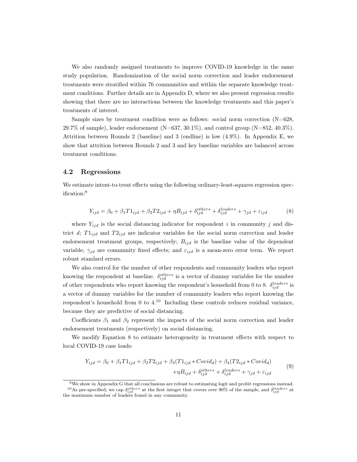We also randomly assigned treatments to improve COVID-19 knowledge in the same study population. Randomization of the social norm correction and leader endorsement treatments were stratified within 76 communities and within the separate knowledge treatment conditions. Further details are in Appendix [D,](#page-28-0) where we also present regression results showing that there are no interactions between the knowledge treatments and this paper's treatments of interest.

Sample sizes by treatment condition were as follows: social norm correction  $(N=628,$ 29.7% of sample), leader endorsement  $(N=637, 30.1\%)$ , and control group  $(N=852, 40.3\%)$ . Attrition between Rounds 2 (baseline) and 3 (endline) is low (4.9%). In Appendix [E,](#page-31-0) we show that attrition between Rounds 2 and 3 and key baseline variables are balanced across treatment conditions.

#### 4.2 Regressions

We estimate intent-to-treat effects using the following ordinary-least-squares regression specification:[9](#page-12-0)

<span id="page-12-2"></span>
$$
Y_{ijd} = \beta_0 + \beta_1 T 1_{ijd} + \beta_2 T 2_{ijd} + \eta B_{ijd} + \delta_{ijd}^{others} + \delta_{ijd}^{leads} + \gamma_{jd} + \varepsilon_{ijd} \tag{8}
$$

where  $Y_{ijd}$  is the social distancing indicator for respondent i in community j and district d;  $T1_{ijd}$  and  $T2_{ijd}$  are indicator variables for the social norm correction and leader endorsement treatment groups, respectively;  $B_{ijd}$  is the baseline value of the dependent variable;  $\gamma_{id}$  are community fixed effects; and  $\varepsilon_{id}$  is a mean-zero error term. We report robust standard errors.

We also control for the number of other respondents and community leaders who report knowing the respondent at baseline.  $\delta_{ijd}^{others}$  is a vector of dummy variables for the number of other respondents who report knowing the respondent's household from 0 to 8.  $\delta_{ijd}^{leading}$  is a vector of dummy variables for the number of community leaders who report knowing the respondent's household from 0 to  $4^{10}$  $4^{10}$  $4^{10}$  Including these controls reduces residual variance, because they are predictive of social distancing.

Coefficients  $\beta_1$  and  $\beta_2$  represent the impacts of the social norm correction and leader endorsement treatments (respectively) on social distancing.

We modify Equation [8](#page-12-2) to estimate heterogeneity in treatment effects with respect to local COVID-19 case loads:

<span id="page-12-3"></span>
$$
Y_{ijd} = \beta_0 + \beta_1 T 1_{ijd} + \beta_2 T 2_{ijd} + \beta_3 (T 1_{ijd} * Covid_d) + \beta_4 (T 2_{ijd} * Covid_d)
$$
  
+
$$
\eta B_{ijd} + \delta_{ijd}^{others} + \delta_{ijd}^{leaders} + \gamma_{jd} + \varepsilon_{ijd}
$$
 (9)

<span id="page-12-1"></span><span id="page-12-0"></span><sup>9</sup>We show in Appendix [G](#page-34-0) that all conclusions are robust to estimating logit and probit regressions instead. <sup>10</sup>As pre-specified, we cap  $\delta_{ijd}^{others}$  at the first integer that covers over 90% of the sample, and  $\delta_{ijd}^{leading}$  at the maximum number of leaders found in any community.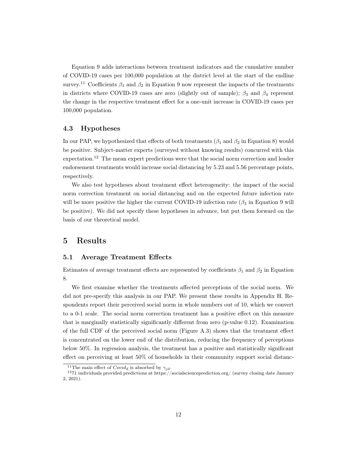Equation [9](#page-12-3) adds interactions between treatment indicators and the cumulative number of COVID-19 cases per 100,000 population at the district level at the start of the endline survey.<sup>[11](#page-13-0)</sup> Coefficients  $\beta_1$  and  $\beta_2$  in Equation [9](#page-12-3) now represent the impacts of the treatments in districts where COVID-19 cases are zero (slightly out of sample);  $\beta_3$  and  $\beta_4$  represent the change in the respective treatment effect for a one-unit increase in COVID-19 cases per 100,000 population.

#### 4.3 Hypotheses

In our PAP, we hypothesized that effects of both treatments ( $\beta_1$  and  $\beta_2$  in Equation [8\)](#page-12-2) would be positive. Subject-matter experts (surveyed without knowing results) concurred with this expectation.[12](#page-13-1) The mean expert predictions were that the social norm correction and leader endorsement treatments would increase social distancing by 5.23 and 5.56 percentage points, respectively.

We also test hypotheses about treatment effect heterogeneity: the impact of the social norm correction treatment on social distancing and on the expected future infection rate will be more positive the higher the current COVID-19 infection rate  $(\beta_3$  in Equation [9](#page-12-3) will be positive). We did not specify these hypotheses in advance, but put them forward on the basis of our theoretical model.

## 5 Results

#### 5.1 Average Treatment Effects

Estimates of average treatment effects are represented by coefficients  $\beta_1$  and  $\beta_2$  in Equation [8.](#page-12-2)

We first examine whether the treatments affected perceptions of the social norm. We did not pre-specify this analysis in our PAP. We present these results in Appendix [H.](#page-36-0) Respondents report their perceived social norm in whole numbers out of 10, which we convert to a 0-1 scale. The social norm correction treatment has a positive effect on this measure that is marginally statistically significantly different from zero (p-value 0.12). Examination of the full CDF of the perceived social norm (Figure [A.3\)](#page-38-0) shows that the treatment effect is concentrated on the lower end of the distribution, reducing the frequency of perceptions below 50%. In regression analysis, the treatment has a positive and statistically significant effect on perceiving at least 50% of households in their community support social distanc-

<span id="page-13-1"></span><span id="page-13-0"></span><sup>&</sup>lt;sup>11</sup>The main effect of  $Covid_d$  is absorbed by  $\gamma_{id}$ .

 $1271$  individuals provided predictions at<https://socialscienceprediction.org/> (survey closing date January 2, 2021).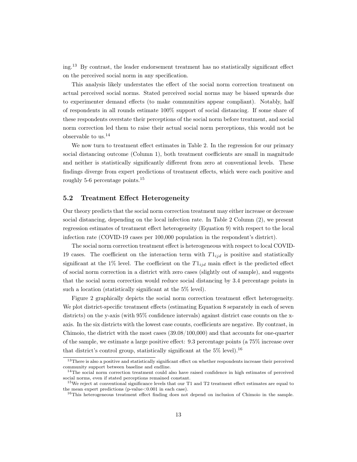ing.[13](#page-14-0) By contrast, the leader endorsement treatment has no statistically significant effect on the perceived social norm in any specification.

This analysis likely understates the effect of the social norm correction treatment on actual perceived social norms. Stated perceived social norms may be biased upwards due to experimenter demand effects (to make communities appear compliant). Notably, half of respondents in all rounds estimate 100% support of social distancing. If some share of these respondents overstate their perceptions of the social norm before treatment, and social norm correction led them to raise their actual social norm perceptions, this would not be observable to us.[14](#page-14-1)

We now turn to treatment effect estimates in Table [2.](#page-23-0) In the regression for our primary social distancing outcome (Column 1), both treatment coefficients are small in magnitude and neither is statistically significantly different from zero at conventional levels. These findings diverge from expert predictions of treatment effects, which were each positive and roughly 5-6 percentage points.[15](#page-14-2)

#### 5.2 Treatment Effect Heterogeneity

Our theory predicts that the social norm correction treatment may either increase or decrease social distancing, depending on the local infection rate. In Table [2](#page-23-0) Column (2), we present regression estimates of treatment effect heterogeneity (Equation [9\)](#page-12-3) with respect to the local infection rate (COVID-19 cases per 100,000 population in the respondent's district).

The social norm correction treatment effect is heterogeneous with respect to local COVID-19 cases. The coefficient on the interaction term with  $T1_{ijd}$  is positive and statistically significant at the 1% level. The coefficient on the  $T_{1id}$  main effect is the predicted effect of social norm correction in a district with zero cases (slightly out of sample), and suggests that the social norm correction would reduce social distancing by 3.4 percentage points in such a location (statistically significant at the 5% level).

Figure [2](#page-21-0) graphically depicts the social norm correction treatment effect heterogeneity. We plot district-specific treatment effects (estimating Equation [8](#page-12-2) separately in each of seven districts) on the y-axis (with 95% confidence intervals) against district case counts on the xaxis. In the six districts with the lowest case counts, coefficients are negative. By contrast, in Chimoio, the district with the most cases (39.08/100,000) and that accounts for one-quarter of the sample, we estimate a large positive effect: 9.3 percentage points (a 75% increase over that district's control group, statistically significant at the  $5\%$  level).<sup>[16](#page-14-3)</sup>

<span id="page-14-0"></span><sup>13</sup>There is also a positive and statistically significant effect on whether respondents increase their perceived community support between baseline and endline.

<span id="page-14-1"></span><sup>&</sup>lt;sup>14</sup>The social norm correction treatment could also have raised confidence in high estimates of perceived social norms, even if stated perceptions remained constant.

<span id="page-14-2"></span><sup>&</sup>lt;sup>15</sup>We reject at conventional significance levels that our T1 and T2 treatment effect estimates are equal to the mean expert predictions (p-value  $< 0.001$  in each case).

<span id="page-14-3"></span><sup>&</sup>lt;sup>16</sup>This heterogeneous treatment effect finding does not depend on inclusion of Chimoio in the sample.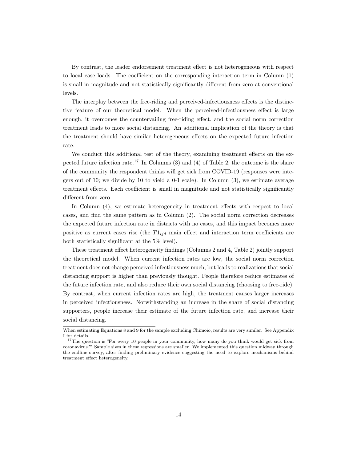By contrast, the leader endorsement treatment effect is not heterogeneous with respect to local case loads. The coefficient on the corresponding interaction term in Column (1) is small in magnitude and not statistically significantly different from zero at conventional levels.

The interplay between the free-riding and perceived-infectiousness effects is the distinctive feature of our theoretical model. When the perceived-infectiousness effect is large enough, it overcomes the countervailing free-riding effect, and the social norm correction treatment leads to more social distancing. An additional implication of the theory is that the treatment should have similar heterogeneous effects on the expected future infection rate.

We conduct this additional test of the theory, examining treatment effects on the ex-pected future infection rate.<sup>[17](#page-15-0)</sup> In Columns (3) and (4) of Table [2,](#page-23-0) the outcome is the share of the community the respondent thinks will get sick from COVID-19 (responses were integers out of 10; we divide by 10 to yield a 0-1 scale). In Column (3), we estimate average treatment effects. Each coefficient is small in magnitude and not statistically significantly different from zero.

In Column (4), we estimate heterogeneity in treatment effects with respect to local cases, and find the same pattern as in Column (2). The social norm correction decreases the expected future infection rate in districts with no cases, and this impact becomes more positive as current cases rise (the  $T1_{ijd}$  main effect and interaction term coefficients are both statistically significant at the 5% level).

These treatment effect heterogeneity findings (Columns 2 and 4, Table [2\)](#page-23-0) jointly support the theoretical model. When current infection rates are low, the social norm correction treatment does not change perceived infectiousness much, but leads to realizations that social distancing support is higher than previously thought. People therefore reduce estimates of the future infection rate, and also reduce their own social distancing (choosing to free-ride). By contrast, when current infection rates are high, the treatment causes larger increases in perceived infectiousness. Notwithstanding an increase in the share of social distancing supporters, people increase their estimate of the future infection rate, and increase their social distancing.

When estimating Equations [8](#page-12-2) and [9](#page-12-3) for the sample excluding Chimoio, results are very similar. See Appendix [I](#page-40-0) for details.

<span id="page-15-0"></span><sup>&</sup>lt;sup>17</sup>The question is "For every 10 people in your community, how many do you think would get sick from coronavirus?" Sample sizes in these regressions are smaller. We implemented this question midway through the endline survey, after finding preliminary evidence suggesting the need to explore mechanisms behind treatment effect heterogeneity.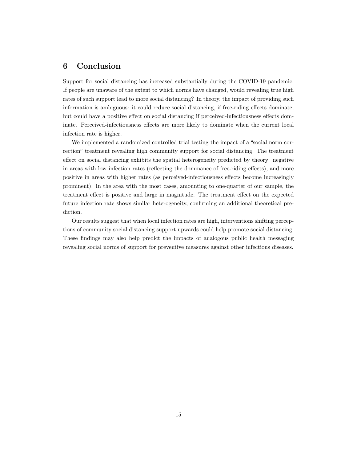# 6 Conclusion

Support for social distancing has increased substantially during the COVID-19 pandemic. If people are unaware of the extent to which norms have changed, would revealing true high rates of such support lead to more social distancing? In theory, the impact of providing such information is ambiguous: it could reduce social distancing, if free-riding effects dominate, but could have a positive effect on social distancing if perceived-infectiousness effects dominate. Perceived-infectiousness effects are more likely to dominate when the current local infection rate is higher.

We implemented a randomized controlled trial testing the impact of a "social norm correction" treatment revealing high community support for social distancing. The treatment effect on social distancing exhibits the spatial heterogeneity predicted by theory: negative in areas with low infection rates (reflecting the dominance of free-riding effects), and more positive in areas with higher rates (as perceived-infectiousness effects become increasingly prominent). In the area with the most cases, amounting to one-quarter of our sample, the treatment effect is positive and large in magnitude. The treatment effect on the expected future infection rate shows similar heterogeneity, confirming an additional theoretical prediction.

Our results suggest that when local infection rates are high, interventions shifting perceptions of community social distancing support upwards could help promote social distancing. These findings may also help predict the impacts of analogous public health messaging revealing social norms of support for preventive measures against other infectious diseases.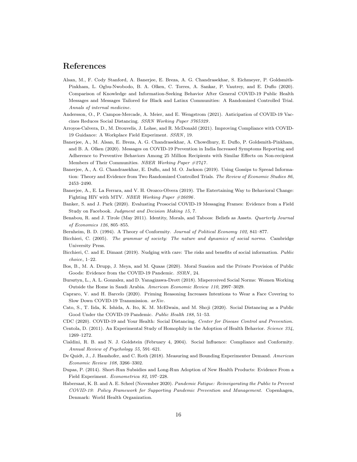### References

- <span id="page-17-12"></span>Alsan, M., F. Cody Stanford, A. Banerjee, E. Breza, A. G. Chandrasekhar, S. Eichmeyer, P. Goldsmith-Pinkham, L. Ogbu-Nwobodo, B. A. Olken, C. Torres, A. Sankar, P. Vautrey, and E. Duflo (2020). Comparison of Knowledge and Information-Seeking Behavior After General COVID-19 Public Health Messages and Messages Tailored for Black and Latinx Communities: A Randomized Controlled Trial. Annals of internal medicine.
- <span id="page-17-14"></span>Andersson, O., P. Campos-Mercade, A. Meier, and E. Wengstrom (2021). Anticipation of COVID-19 Vaccines Reduces Social Distancing. SSRN Working Paper 3765329 .
- <span id="page-17-11"></span>Arroyos-Calvera, D., M. Drouvelis, J. Lohse, and R. McDonald (2021). Improving Compliance with COVID-19 Guidance: A Workplace Field Experiment. SSRN, 19.
- <span id="page-17-17"></span>Banerjee, A., M. Alsan, E. Breza, A. G. Chandrasekhar, A. Chowdhury, E. Duflo, P. Goldsmith-Pinkham, and B. A. Olken (2020). Messages on COVID-19 Prevention in India Increased Symptoms Reporting and Adherence to Preventive Behaviors Among 25 Million Recipients with Similar Effects on Non-recipient Members of Their Communities. NBER Working Paper #2747.
- <span id="page-17-16"></span>Banerjee, A., A. G. Chandrasekhar, E. Duflo, and M. O. Jackson (2019). Using Gossips to Spread Information: Theory and Evidence from Two Randomized Controlled Trials. The Review of Economic Studies 86, 2453–2490.
- <span id="page-17-8"></span>Banerjee, A., E. La Ferrara, and V. H. Orozco-Olvera (2019). The Entertaining Way to Behavioral Change: Fighting HIV with MTV. NBER Working Paper  $\#26096$ .
- <span id="page-17-5"></span>Banker, S. and J. Park (2020). Evaluating Prosocial COVID-19 Messaging Frames: Evidence from a Field Study on Facebook. Judgment and Decision Making 15, 7.
- <span id="page-17-6"></span>Benabou, R. and J. Tirole (May 2011). Identity, Morals, and Taboos: Beliefs as Assets. Quarterly Journal of Economics 126, 805–855.
- <span id="page-17-15"></span>Bernheim, B. D. (1994). A Theory of Conformity. Journal of Political Economy 102, 841–877.
- <span id="page-17-20"></span>Bicchieri, C. (2005). The grammar of society: The nature and dynamics of social norms. Cambridge University Press.
- <span id="page-17-7"></span>Bicchieri, C. and E. Dimant (2019). Nudging with care: The risks and benefits of social information. Public choice, 1–22.
- <span id="page-17-3"></span>Bos, B., M. A. Drupp, J. Meya, and M. Quaas (2020). Moral Suasion and the Private Provision of Public Goods: Evidence from the COVID-19 Pandemic. SSRN, 24.
- <span id="page-17-9"></span>Bursztyn, L., A. L. Gonzalez, and D. Yanagizawa-Drott (2018). Misperceived Social Norms: Women Working Outside the Home in Saudi Arabia. American Economic Review 110, 2997–3029.
- <span id="page-17-4"></span>Capraro, V. and H. Barcelo (2020). Priming Reasoning Increases Intentions to Wear a Face Covering to Slow Down COVID-19 Transmission. arXiv.
- <span id="page-17-13"></span>Cato, S., T. Iida, K. Ishida, A. Ito, K. M. McElwain, and M. Shoji (2020). Social Distancing as a Public Good Under the COVID-19 Pandemic. Public Health 188, 51–53.
- <span id="page-17-10"></span><span id="page-17-0"></span>CDC (2020). COVID-19 and Your Health: Social Distancing. Center for Disease Control and Prevention.
- Centola, D. (2011). An Experimental Study of Homophily in the Adoption of Health Behavior. Science 334, 1269–1272.
- <span id="page-17-18"></span>Cialdini, R. B. and N. J. Goldstein (February 4, 2004). Social Influence: Compliance and Conformity. Annual Review of Psychology 55, 591–621.
- <span id="page-17-2"></span>De Quidt, J., J. Haushofer, and C. Roth (2018). Measuring and Bounding Experimenter Demand. American Economic Review 108, 3266–3302.
- <span id="page-17-19"></span>Dupas, P. (2014). Short-Run Subsidies and Long-Run Adoption of New Health Products: Evidence From a Field Experiment. Econometrica 82, 197–228.
- <span id="page-17-1"></span>Habersaat, K. B. and A. E. Scheel (November 2020). Pandemic Fatigue: Reinvigorating the Public to Prevent COVID-19: Policy Framework for Supporting Pandemic Prevention and Management. Copenhagen, Denmark: World Health Organization.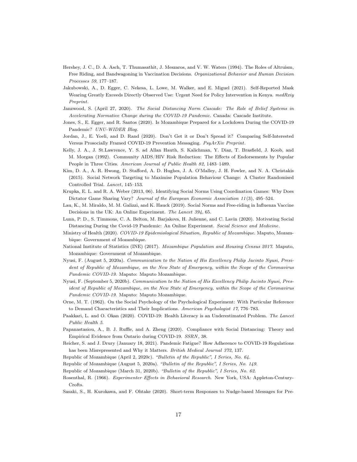- <span id="page-18-10"></span>Hershey, J. C., D. A. Asch, T. Thumasathit, J. Meszaros, and V. W. Waters (1994). The Roles of Altruism, Free Riding, and Bandwagoning in Vaccination Decisions. Organizational Behavior and Human Decision Processes 59, 177–187.
- <span id="page-18-4"></span>Jakubowski, A., D. Egger, C. Nekesa, L. Lowe, M. Walker, and E. Miguel (2021). Self-Reported Mask Wearing Greatly Exceeds Directly Observed Use: Urgent Need for Policy Intervention in Kenya. medRxiy Preprint.
- <span id="page-18-0"></span>Janzwood, S. (April 27, 2020). The Social Distancing Norm Cascade: The Role of Belief Systems in Accelerating Normative Change during the COVID-19 Pandemic. Canada: Cascade Institute.
- <span id="page-18-17"></span>Jones, S., E. Egger, and R. Santos (2020). Is Mozambique Prepared for a Lockdown During the COVID-19 Pandemic? UNU-WIDER Blog.
- <span id="page-18-7"></span>Jordan, J., E. Yoeli, and D. Rand (2020). Don't Get it or Don't Spread it? Comparing Self-Interested Versus Prosocially Framed COVID-19 Prevention Messaging. PsyArXiv Preprint.
- <span id="page-18-14"></span>Kelly, J. A., J. St.Lawrence, Y. S. ad Allan Hauth, S. Kalichman, Y. Diaz, T. Brasfield, J. Koob, and M. Morgan (1992). Community AIDS/HIV Risk Reduction: The Effects of Endorsements by Popular People in Three Cities. American Journal of Public Health 82, 1483–1489.
- <span id="page-18-8"></span>Kim, D. A., A. R. Hwong, D. Stafford, A. D. Hughes, J. A. O'Malley, J. H. Fowler, and N. A. Christakis (2015). Social Network Targeting to Maximise Population Behaviour Change: A Cluster Randomised Controlled Trial. Lancet, 145–153.
- <span id="page-18-13"></span>Krupka, E. L. and R. A. Weber (2013, 06). Identifying Social Norms Using Coordination Games: Why Does Dictator Game Sharing Vary? Journal of the European Economic Association 11(3), 495-524.
- <span id="page-18-11"></span>Lau, K., M. Miraldo, M. M. Galizzi, and K. Hauck (2019). Social Norms and Free-riding in Influenza Vaccine Decisions in the UK: An Online Experiment. The Lancet 394, 65.
- <span id="page-18-6"></span>Lunn, P. D., S. Timmons, C. A. Belton, M. Barjakova, H. Julienne, and C. Lavin (2020). Motivating Social Distancing During the Covid-19 Pandemic: An Online Experiment. Social Science and Medicine.
- <span id="page-18-22"></span>Ministry of Health (2020). COVID-19 Epidemiological Situation, Republic of Mozambique. Maputo, Mozambique: Government of Mozambique.
- <span id="page-18-21"></span>National Institute of Statistics (INE) (2017). Mozambique Population and Housing Census 2017. Maputo, Mozambique: Government of Mozambique.
- <span id="page-18-19"></span>Nyusi, F. (August 5, 2020a). Communication to the Nation of His Excellency Philip Jacinto Nyusi, President of Republic of Mozambique, on the New State of Emergency, within the Scope of the Coronavirus Pandemic COVID-19. Maputo: Maputo Mozambique.
- <span id="page-18-20"></span>Nyusi, F. (September 5, 2020b). Communication to the Nation of His Excellency Philip Jacinto Nyusi, President of Republic of Mozambique, on the New State of Emergency, within the Scope of the Coronavirus Pandemic COVID-19. Maputo: Maputo Mozambique.
- <span id="page-18-2"></span>Orne, M. T. (1962). On the Social Psychology of the Psychological Experiment: With Particular Reference to Demand Characteristics and Their Implications. American Psychologist 17, 776–783.
- <span id="page-18-12"></span>Paakkari, L. and O. Okan (2020). COVID-19: Health Literacy is an Underestimated Problem. The Lancet Public Health 5.
- <span id="page-18-9"></span>Papanastasiou, A., B. J. Ruffle, and A. Zheng (2020). Compliance with Social Distancing: Theory and Empirical Evidence from Ontario during COVID-19. SSRN, 38.
- <span id="page-18-1"></span>Reicher, S. and J. Drury (January 18, 2021). Pandemic Fatigue? How Adherence to COVID-19 Regulations has been Misrepresented and Why it Matters. British Medical Journal 372, 137.
- <span id="page-18-16"></span>Republic of Mozambique (April 2, 2020c). "Bulletin of the Republic", I Series, No. 64.
- <span id="page-18-18"></span>Republic of Mozambique (August 5, 2020a). "Bulletin of the Republic", I Series, No. 149.
- <span id="page-18-15"></span>Republic of Mozambique (March 31, 2020b). "Bulletin of the Republic", I Series, No. 62.
- <span id="page-18-3"></span>Rosenthal, R. (1966). Experimenter Effects in Behavioral Research. New York, USA: Appleton-Century-Crofts.
- <span id="page-18-5"></span>Sasaki, S., H. Kurokawa, and F. Ohtake (2020). Short-term Responses to Nudge-based Messages for Pre-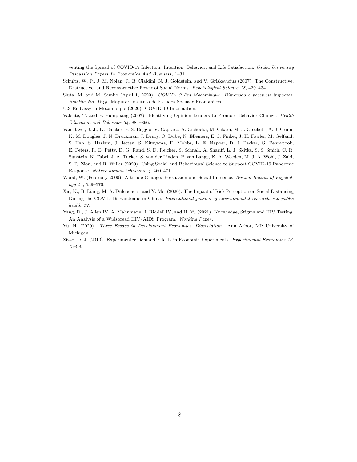venting the Spread of COVID-19 Infection: Intention, Behavior, and Life Satisfaction. Osaka University Discussion Papers In Economics And Business, 1–31.

- <span id="page-19-4"></span>Schultz, W. P., J. M. Nolan, R. B. Cialdini, N. J. Goldstein, and V. Griskevicius (2007). The Constructive, Destructive, and Reconstructive Power of Social Norms. Psychological Science 18, 429–434.
- <span id="page-19-8"></span>Siuta, M. and M. Sambo (April 1, 2020). COVID-19 Em Mocambique: Dimensao e possiveis impactos. Boletim No. 124p. Maputo: Instituto de Estudos Socias e Economicos.
- <span id="page-19-9"></span>U.S Embassy in Mozambique (2020). COVID-19 Information.
- <span id="page-19-6"></span>Valente, T. and P. Pumpuang (2007). Identifying Opinion Leaders to Promote Behavior Change. Health Education and Behavior 34, 881–896.
- <span id="page-19-3"></span>Van Bavel, J. J., K. Baicker, P. S. Boggio, V. Capraro, A. Cichocka, M. Cikara, M. J. Crockett, A. J. Crum, K. M. Douglas, J. N. Druckman, J. Drury, O. Dube, N. Ellemers, E. J. Finkel, J. H. Fowler, M. Gelfand, S. Han, S. Haslam, J. Jetten, S. Kitayama, D. Mobbs, L. E. Napper, D. J. Packer, G. Pennycook, E. Peters, R. E. Petty, D. G. Rand, S. D. Reicher, S. Schnall, A. Shariff, L. J. Skitka, S. S. Smith, C. R. Sunstein, N. Tabri, J. A. Tucker, S. van der Linden, P. van Lange, K. A. Weeden, M. J. A. Wohl, J. Zaki, S. R. Zion, and R. Willer (2020). Using Social and Behavioural Science to Support COVID-19 Pandemic Response. Nature human behaviour 4, 460–471.
- <span id="page-19-7"></span>Wood, W. (February 2000). Attitude Change: Persuasion and Social Influence. Annual Review of Psychology 51, 539–570.
- <span id="page-19-5"></span>Xie, K., B. Liang, M. A. Dulebenets, and Y. Mei (2020). The Impact of Risk Perception on Social Distancing During the COVID-19 Pandemic in China. International journal of environmental research and public health 17.
- <span id="page-19-2"></span>Yang, D., J. Allen IV, A. Mahumane, J. Riddell IV, and H. Yu (2021). Knowledge, Stigma and HIV Testing: An Analysis of a Widspread HIV/AIDS Program. Working Paper .
- <span id="page-19-1"></span>Yu, H. (2020). Three Essays in Development Economics. Dissertation. Ann Arbor, MI: University of Michigan.
- <span id="page-19-0"></span>Zizzo, D. J. (2010). Experimenter Demand Effects in Economic Experiments. Experimental Economics 13, 75–98.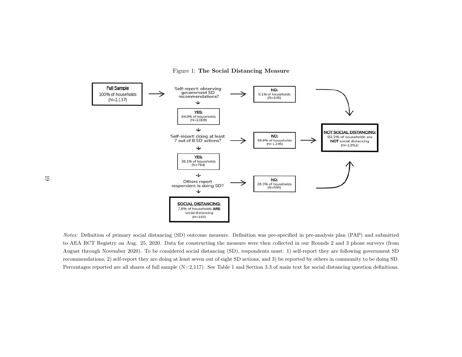<span id="page-20-0"></span>Figure 1: The Social Distancing Measure



Notes: Definition of primary social distancing (SD) outcome measure. Definition was pre-specified in pre-analysis <sup>p</sup>lan (PAP) and submitted to AEA RCT Registry on Aug. 25, 2020. Data for constructing the measure were then collected in our Rounds <sup>2</sup> and <sup>3</sup> <sup>p</sup>hone surveys (from August through November 2020). To be considered social distancing (SD), respondents must: 1) self-report they are following government SD recommendations, 2) self-report they are doing at least seven out of eight SD actions, and 3) be reported by others in community to be doing SD.Percentages reported are all shares of full sample (N=2,117). See Table [1](#page-22-1) and Section [3.3](#page-9-2) of main text for social distancing question definitions.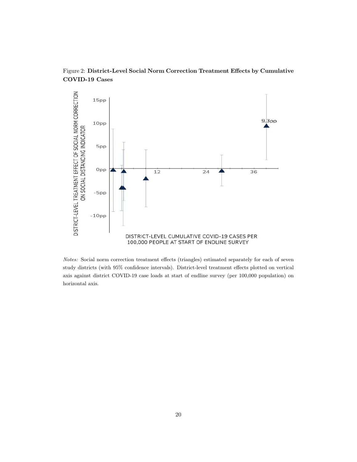

<span id="page-21-0"></span>Figure 2: District-Level Social Norm Correction Treatment Effects by Cumulative COVID-19 Cases

Notes: Social norm correction treatment effects (triangles) estimated separately for each of seven study districts (with 95% confidence intervals). District-level treatment effects plotted on vertical axis against district COVID-19 case loads at start of endline survey (per 100,000 population) on horizontal axis.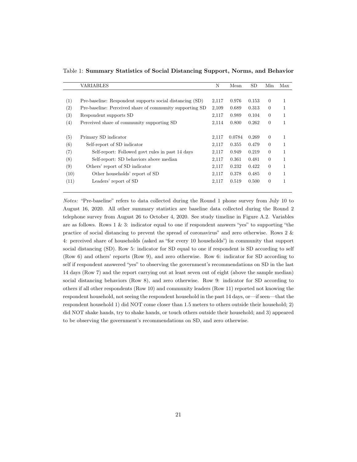<span id="page-22-1"></span>

|      | VARIABLES                                                | N     | Mean   | SD    | Min            | Max |
|------|----------------------------------------------------------|-------|--------|-------|----------------|-----|
|      |                                                          |       |        |       |                |     |
| (1)  | Pre-baseline: Respondent supports social distancing (SD) | 2,117 | 0.976  | 0.153 | $\theta$       | 1   |
| (2)  | Pre-baseline: Perceived share of community supporting SD | 2,109 | 0.689  | 0.313 | $\theta$       |     |
| (3)  | Respondent supports SD                                   | 2,117 | 0.989  | 0.104 | $\theta$       | 1   |
| (4)  | Perceived share of community supporting SD               | 2,114 | 0.800  | 0.262 | $\overline{0}$ |     |
|      |                                                          |       |        |       |                |     |
| (5)  | Primary SD indicator                                     | 2,117 | 0.0784 | 0.269 | $\theta$       |     |
| (6)  | Self-report of SD indicator                              | 2,117 | 0.355  | 0.479 | $\theta$       |     |
| (7)  | Self-report: Followed govt rules in past 14 days         | 2,117 | 0.949  | 0.219 | $\theta$       |     |
| (8)  | Self-report: SD behaviors above median                   | 2,117 | 0.361  | 0.481 | $\Omega$       | 1   |
| (9)  | Others' report of SD indicator                           | 2,117 | 0.232  | 0.422 | $\theta$       | 1   |
| (10) | Other households' report of SD                           | 2,117 | 0.378  | 0.485 | $\Omega$       |     |
| (11) | Leaders' report of SD                                    | 2,117 | 0.519  | 0.500 | $\theta$       | 1   |
|      |                                                          |       |        |       |                |     |

<span id="page-22-0"></span>Table 1: Summary Statistics of Social Distancing Support, Norms, and Behavior

Notes: "Pre-baseline" refers to data collected during the Round 1 phone survey from July 10 to August 16, 2020. All other summary statistics are baseline data collected during the Round 2 telephone survey from August 26 to October 4, 2020. See study timeline in Figure [A.2.](#page-21-0) Variables are as follows. Rows  $1 \& 3$ : indicator equal to one if respondent answers "yes" to supporting "the practice of social distancing to prevent the spread of coronavirus" and zero otherwise. Rows 2 & 4: perceived share of households (asked as "for every 10 households") in community that support social distancing (SD). Row 5: indicator for SD equal to one if respondent is SD according to self (Row 6) and others' reports (Row 9), and zero otherwise. Row 6: indicator for SD according to self if respondent answered "yes" to observing the government's recommendations on SD in the last 14 days (Row 7) and the report carrying out at least seven out of eight (above the sample median) social distancing behaviors (Row 8), and zero otherwise. Row 9: indicator for SD according to others if all other respondents (Row 10) and community leaders (Row 11) reported not knowing the respondent household, not seeing the respondent household in the past 14 days, or—if seen—that the respondent household 1) did NOT come closer than 1.5 meters to others outside their household; 2) did NOT shake hands, try to shake hands, or touch others outside their household; and 3) appeared to be observing the government's recommendations on SD, and zero otherwise.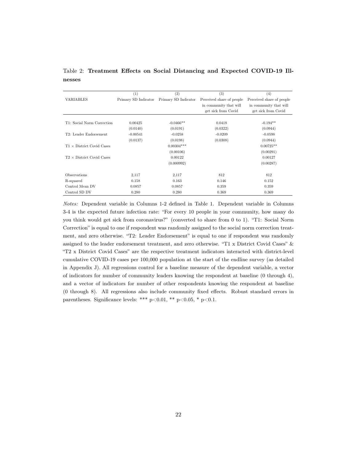<span id="page-23-0"></span>Table 2: Treatment Effects on Social Distancing and Expected COVID-19 Illnesses

<span id="page-23-1"></span>

|                                  | (1)                  | (2)                  | (3)                       | (4)                       |
|----------------------------------|----------------------|----------------------|---------------------------|---------------------------|
| VARIABLES                        | Primary SD Indicator | Primary SD Indicator | Perceived share of people | Perceived share of people |
|                                  |                      |                      | in community that will    | in community that will    |
|                                  |                      |                      | get sick from Covid       | get sick from Covid       |
|                                  |                      |                      |                           |                           |
| T1: Social Norm Correction       | 0.00425              | $-0.0466**$          | 0.0418                    | $-0.194**$                |
|                                  | (0.0140)             | (0.0191)             | (0.0322)                  | (0.0944)                  |
| T2: Leader Endorsement           | $-0.00541$           | $-0.0258$            | $-0.0209$                 | $-0.0598$                 |
|                                  | (0.0137)             | (0.0198)             | (0.0308)                  | (0.0944)                  |
| $T1 \times$ District Covid Cases |                      | $0.00304***$         |                           | $0.00725**$               |
|                                  |                      | (0.00106)            |                           | (0.00291)                 |
| $T2 \times$ District Covid Cases |                      | 0.00122              |                           | 0.00127                   |
|                                  |                      | (0.000992)           |                           | (0.00287)                 |
|                                  |                      |                      |                           |                           |
| <b>Observations</b>              | 2,117                | 2,117                | 812                       | 812                       |
| R-squared                        | 0.158                | 0.163                | 0.146                     | 0.152                     |
| Control Mean DV                  | 0.0857               | 0.0857               | 0.359                     | 0.359                     |
| Control SD DV                    | 0.280                | 0.280                | 0.369                     | 0.369                     |

Notes: Dependent variable in Columns 1-2 defined in Table [1.](#page-22-0) Dependent variable in Columns 3-4 is the expected future infection rate: "For every 10 people in your community, how many do you think would get sick from coronavirus?" (converted to share from 0 to 1). "T1: Social Norm Correction" is equal to one if respondent was randomly assigned to the social norm correction treatment, and zero otherwise. "T2: Leader Endorsement" is equal to one if respondent was randomly assigned to the leader endorsement treatment, and zero otherwise. "T1 x District Covid Cases" & "T2 x District Covid Cases" are the respective treatment indicators interacted with district-level cumulative COVID-19 cases per 100,000 population at the start of the endline survey (as detailed in Appendix [J\)](#page-42-0). All regressions control for a baseline measure of the dependent variable, a vector of indicators for number of community leaders knowing the respondent at baseline (0 through 4), and a vector of indicators for number of other respondents knowing the respondent at baseline (0 through 8). All regressions also include community fixed effects. Robust standard errors in parentheses. Significance levels: \*\*\*  $p<0.01$ , \*\*  $p<0.05$ , \*  $p<0.1$ .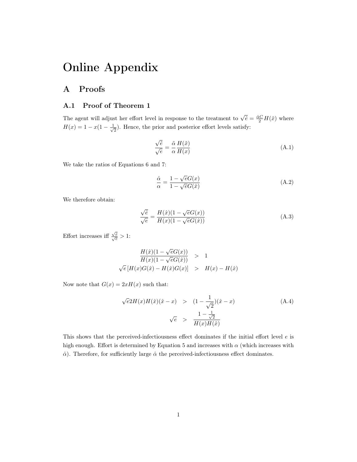# Online Appendix

# <span id="page-24-0"></span>A Proofs

### A.1 Proof of Theorem [1](#page-7-1)

The agent will adjust her effort level in response to the treatment to  $\sqrt{\hat{e}} = \frac{\hat{a}C}{2}H(\hat{x})$  where  $H(x) = 1 - x(1 - \frac{1}{x})$  $\frac{1}{2}$ ). Hence, the prior and posterior effort levels satisfy:

$$
\frac{\sqrt{\tilde{e}}}{\sqrt{e}} = \frac{\tilde{\alpha}}{\alpha} \frac{H(\tilde{x})}{H(x)}
$$
(A.1)

We take the ratios of Equations [6](#page-6-0) and [7:](#page-6-1)

$$
\frac{\hat{\alpha}}{\alpha} = \frac{1 - \sqrt{e}G(x)}{1 - \sqrt{e}G(\hat{x})}
$$
\n(A.2)

We therefore obtain:

$$
\frac{\sqrt{\tilde{e}}}{\sqrt{e}} = \frac{H(\hat{x})(1 - \sqrt{e}G(x))}{H(x)(1 - \sqrt{e}G(\hat{x}))}
$$
(A.3)

Effort increases iff  $\frac{\sqrt{\tilde{e}}}{\sqrt{e}} > 1$ :

$$
\frac{H(\hat{x})(1 - \sqrt{e}G(x))}{H(x)(1 - \sqrt{e}G(\hat{x}))} > 1
$$
  

$$
\sqrt{e}[H(x)G(\hat{x}) - H(\hat{x})G(x)] > H(x) - H(\hat{x})
$$

Now note that  $G(x) = 2xH(x)$  such that:

$$
\sqrt{e}2H(x)H(\hat{x})(\hat{x} - x) > (1 - \frac{1}{\sqrt{2}})(\hat{x} - x)
$$
\n
$$
\sqrt{e} > \frac{1 - \frac{1}{\sqrt{2}}}{H(x)H(\hat{x})}
$$
\n(A.4)

This shows that the perceived-infectiousness effect dominates if the initial effort level  $e$  is high enough. Effort is determined by Equation [5](#page-5-0) and increases with  $\alpha$  (which increases with  $\hat{\alpha}$ ). Therefore, for sufficiently large  $\hat{\alpha}$  the perceived-infectiousness effect dominates.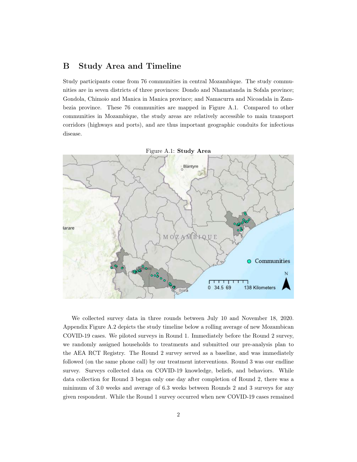## <span id="page-25-0"></span>B Study Area and Timeline

Study participants come from 76 communities in central Mozambique. The study communities are in seven districts of three provinces: Dondo and Nhamatanda in Sofala province; Gondola, Chimoio and Manica in Manica province; and Namacurra and Nicoadala in Zambezia province. These 76 communities are mapped in Figure [A.1.](#page-20-0) Compared to other communities in Mozambique, the study areas are relatively accessible to main transport corridors (highways and ports), and are thus important geographic conduits for infectious disease.



We collected survey data in three rounds between July 10 and November 18, 2020. Appendix Figure [A.2](#page-21-0) depicts the study timeline below a rolling average of new Mozambican COVID-19 cases. We piloted surveys in Round 1. Immediately before the Round 2 survey, we randomly assigned households to treatments and submitted our pre-analysis plan to the AEA RCT Registry. The Round 2 survey served as a baseline, and was immediately followed (on the same phone call) by our treatment interventions. Round 3 was our endline survey. Surveys collected data on COVID-19 knowledge, beliefs, and behaviors. While data collection for Round 3 began only one day after completion of Round 2, there was a minimum of 3.0 weeks and average of 6.3 weeks between Rounds 2 and 3 surveys for any given respondent. While the Round 1 survey occurred when new COVID-19 cases remained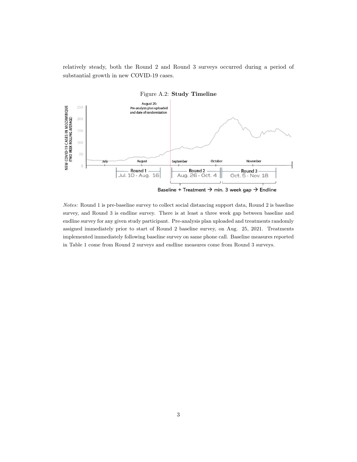relatively steady, both the Round 2 and Round 3 surveys occurred during a period of substantial growth in new COVID-19 cases.



Notes: Round 1 is pre-baseline survey to collect social distancing support data, Round 2 is baseline survey, and Round 3 is endline survey. There is at least a three week gap between baseline and endline survey for any given study participant. Pre-analysis plan uploaded and treatments randomly assigned immediately prior to start of Round 2 baseline survey, on Aug. 25, 2021. Treatments implemented immediately following baseline survey on same phone call. Baseline measures reported in Table [1](#page-22-0) come from Round 2 surveys and endline measures come from Round 3 surveys.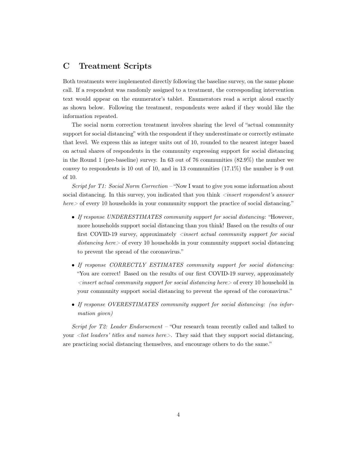# <span id="page-27-0"></span>C Treatment Scripts

Both treatments were implemented directly following the baseline survey, on the same phone call. If a respondent was randomly assigned to a treatment, the corresponding intervention text would appear on the enumerator's tablet. Enumerators read a script aloud exactly as shown below. Following the treatment, respondents were asked if they would like the information repeated.

The social norm correction treatment involves sharing the level of "actual community support for social distancing" with the respondent if they underestimate or correctly estimate that level. We express this as integer units out of 10, rounded to the nearest integer based on actual shares of respondents in the community expressing support for social distancing in the Round 1 (pre-baseline) survey. In 63 out of 76 communities (82.9%) the number we convey to respondents is 10 out of 10, and in 13 communities (17.1%) the number is 9 out of 10.

Script for T1: Social Norm Correction – "Now I want to give you some information about social distancing. In this survey, you indicated that you think  $\langle insert\;respondent's\; answer$  $here$  of every 10 households in your community support the practice of social distancing."

- If response UNDERESTIMATES community support for social distancing: "However, more households support social distancing than you think! Based on the results of our first COVID-19 survey, approximately *<insert actual community support for social* distancing here of every 10 households in your community support social distancing to prevent the spread of the coronavirus."
- If response CORRECTLY ESTIMATES community support for social distancing: "You are correct! Based on the results of our first COVID-19 survey, approximately  $\leq$ insert actual community support for social distancing here $>$  of every 10 household in your community support social distancing to prevent the spread of the coronavirus."
- If response OVERESTIMATES community support for social distancing: (no information given)

Script for T2: Leader Endorsement – "Our research team recently called and talked to your  $\langle$  list leaders' titles and names here  $\rangle$ . They said that they support social distancing, are practicing social distancing themselves, and encourage others to do the same."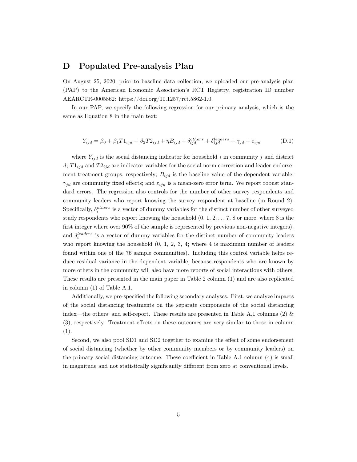## <span id="page-28-0"></span>D Populated Pre-analysis Plan

On August 25, 2020, prior to baseline data collection, we uploaded our pre-analysis plan (PAP) to the American Economic Association's RCT Registry, registration ID number AEARCTR-0005862: [https://doi.org/10.1257/rct.5862-1.0.](https://doi.org/10.1257/rct.5862-1.0)

In our PAP, we specify the following regression for our primary analysis, which is the same as Equation [8](#page-12-2) in the main text:

$$
Y_{ijd} = \beta_0 + \beta_1 T 1_{ijd} + \beta_2 T 2_{ijd} + \eta B_{ijd} + \delta_{ijd}^{others} + \delta_{ijd}^{leads} + \gamma_{jd} + \varepsilon_{ijd}
$$
 (D.1)

where  $Y_{ijd}$  is the social distancing indicator for household i in community j and district  $d$ ;  $T_{ijd}$  and  $T_{2ijd}$  are indicator variables for the social norm correction and leader endorsement treatment groups, respectively;  $B_{ijd}$  is the baseline value of the dependent variable;  $\gamma_{id}$  are community fixed effects; and  $\varepsilon_{ijd}$  is a mean-zero error term. We report robust standard errors. The regression also controls for the number of other survey respondents and community leaders who report knowing the survey respondent at baseline (in Round 2). Specifically,  $\delta_i^{others}$  is a vector of dummy variables for the distinct number of other surveyed study respondents who report knowing the household  $(0, 1, 2, \ldots, 7, 8$  or more; where 8 is the first integer where over 90% of the sample is represented by previous non-negative integers), and  $\delta_i^{leading}$  is a vector of dummy variables for the distinct number of community leaders who report knowing the household  $(0, 1, 2, 3, 4;$  where 4 is maximum number of leaders found within one of the 76 sample communities). Including this control variable helps reduce residual variance in the dependent variable, because respondents who are known by more others in the community will also have more reports of social interactions with others. These results are presented in the main paper in Table [2](#page-23-0) column (1) and are also replicated in column (1) of Table [A.1.](#page-22-0)

Additionally, we pre-specified the following secondary analyses. First, we analyze impacts of the social distancing treatments on the separate components of the social distancing index—the others' and self-report. These results are presented in Table [A.1](#page-22-0) columns (2)  $\&$ (3), respectively. Treatment effects on these outcomes are very similar to those in column (1).

Second, we also pool SD1 and SD2 together to examine the effect of some endorsement of social distancing (whether by other community members or by community leaders) on the primary social distancing outcome. These coefficient in Table [A.1](#page-22-0) column (4) is small in magnitude and not statistically significantly different from zero at conventional levels.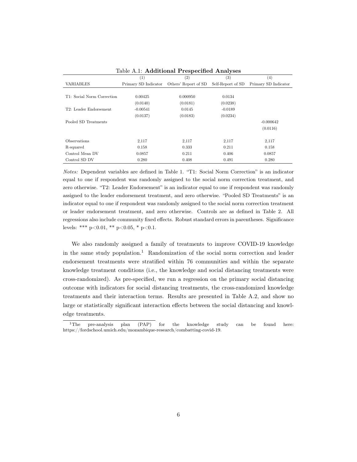|                            | (1)                  | (2)                  | (3)               | (4)                  |
|----------------------------|----------------------|----------------------|-------------------|----------------------|
| <b>VARIABLES</b>           | Primary SD Indicator | Others' Report of SD | Self-Report of SD | Primary SD Indicator |
|                            |                      |                      |                   |                      |
| T1: Social Norm Correction | 0.00425              | 0.000950             | 0.0134            |                      |
|                            | (0.0140)             | (0.0181)             | (0.0238)          |                      |
| T2: Leader Endorsement     | $-0.00541$           | 0.0145               | $-0.0189$         |                      |
|                            | (0.0137)             | (0.0183)             | (0.0234)          |                      |
| Pooled SD Treatments       |                      |                      |                   | $-0.000642$          |
|                            |                      |                      |                   | (0.0116)             |
|                            |                      |                      |                   |                      |
| <b>Observations</b>        | 2,117                | 2,117                | 2,117             | 2,117                |
| R-squared                  | 0.158                | 0.333                | 0.211             | 0.158                |
| Control Mean DV            | 0.0857               | 0.211                | 0.406             | 0.0857               |
| Control SD DV              | 0.280                | 0.408                | 0.491             | 0.280                |

Table A.1: Additional Prespecified Analyses

Notes: Dependent variables are defined in Table [1.](#page-22-0) "T1: Social Norm Correction" is an indicator equal to one if respondent was randomly assigned to the social norm correction treatment, and zero otherwise. "T2: Leader Endorsement" is an indicator equal to one if respondent was randomly assigned to the leader endorsement treatment, and zero otherwise. "Pooled SD Treatments" is an indicator equal to one if respondent was randomly assigned to the social norm correction treatment or leader endorsement treatment, and zero otherwise. Controls are as defined in Table [2.](#page-23-0) All regressions also include community fixed effects. Robust standard errors in parentheses. Significance levels: \*\*\* p<0.01, \*\* p<0.05, \* p<0.1.

We also randomly assigned a family of treatments to improve COVID-19 knowledge in the same study population.<sup>[1](#page-29-0)</sup> Randomization of the social norm correction and leader endorsement treatments were stratified within 76 communities and within the separate knowledge treatment conditions (i.e., the knowledge and social distancing treatments were cross-randomized). As pre-specified, we run a regression on the primary social distancing outcome with indicators for social distancing treatments, the cross-randomized knowledge treatments and their interaction terms. Results are presented in Table [A.2,](#page-23-0) and show no large or statistically significant interaction effects between the social distancing and knowledge treatments.

<span id="page-29-0"></span><sup>&</sup>lt;sup>1</sup>The pre-analysis plan (PAP) for the knowledge study can be found here: [https://fordschool.umich.edu/mozambique-research/combatting-covid-19.](https://fordschool.umich.edu/mozambique-research/combatting-covid-19)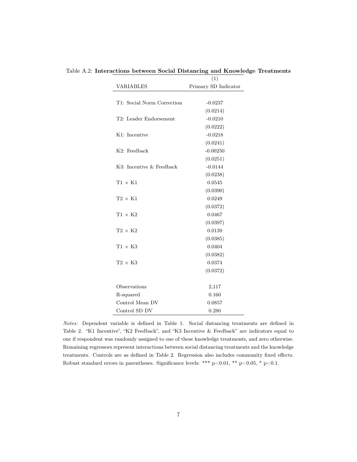|                            | (1)                  |
|----------------------------|----------------------|
| VARIABLES                  | Primary SD Indicator |
|                            |                      |
| T1: Social Norm Correction | $-0.0237$            |
|                            | (0.0214)             |
| T2: Leader Endorsement     | $-0.0210$            |
|                            | (0.0222)             |
| K1: Incentive              | $-0.0218$            |
|                            | (0.0241)             |
| K2: Feedback               | $-0.00250$           |
|                            | (0.0251)             |
| K3: Incentive & Feedback   | $-0.0144$            |
|                            | (0.0238)             |
| $T1 \times K1$             | 0.0545               |
|                            | (0.0390)             |
| $T2 \times K1$             | 0.0249               |
|                            | (0.0372)             |
| $T1 \times K2$             | 0.0467               |
|                            | (0.0397)             |
| $T2 \times K2$             | 0.0139               |
|                            | (0.0385)             |
| $T1 \times K3$             | 0.0404               |
|                            | (0.0382)             |
| $\text{T2}\times\text{K3}$ | 0.0374               |
|                            | (0.0372)             |
|                            |                      |
| Observations               | 2,117                |
| R-squared                  | 0.160                |
| Control Mean DV            | 0.0857               |
| Control SD DV              | 0.280                |

Table A.2: Interactions between Social Distancing and Knowledge Treatments

Notes: Dependent variable is defined in Table [1.](#page-22-0) Social distancing treatments are defined in Table [2.](#page-23-0) "K1 Incentive", "K2 Feedback", and "K3 Incentive & Feedback" are indicators equal to one if respondent was randomly assigned to one of these knowledge treatments, and zero otherwise. Remaining regressors represent interactions between social distancing treatments and the knowledge treatments. Controls are as defined in Table [2.](#page-23-0) Regression also includes community fixed effects. Robust standard errors in parentheses. Significance levels: \*\*\* p<0.01, \*\* p<0.05, \* p<0.1.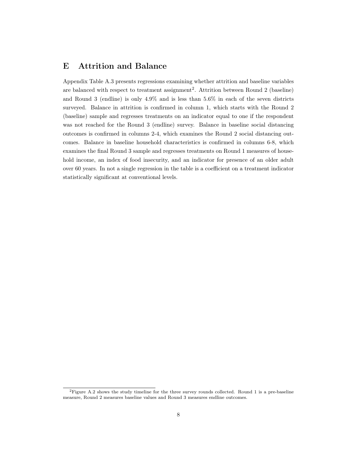# <span id="page-31-0"></span>E Attrition and Balance

Appendix Table [A.3](#page-32-0) presents regressions examining whether attrition and baseline variables are balanced with respect to treatment assignment<sup>[2](#page-31-1)</sup>. Attrition between Round 2 (baseline) and Round 3 (endline) is only 4.9% and is less than 5.6% in each of the seven districts surveyed. Balance in attrition is confirmed in column 1, which starts with the Round 2 (baseline) sample and regresses treatments on an indicator equal to one if the respondent was not reached for the Round 3 (endline) survey. Balance in baseline social distancing outcomes is confirmed in columns 2-4, which examines the Round 2 social distancing outcomes. Balance in baseline household characteristics is confirmed in columns 6-8, which examines the final Round 3 sample and regresses treatments on Round 1 measures of household income, an index of food insecurity, and an indicator for presence of an older adult over 60 years. In not a single regression in the table is a coefficient on a treatment indicator statistically significant at conventional levels.

<span id="page-31-1"></span><sup>2</sup>Figure [A.2](#page-21-0) shows the study timeline for the three survey rounds collected. Round 1 is a pre-baseline measure, Round 2 measures baseline values and Round 3 measures endline outcomes.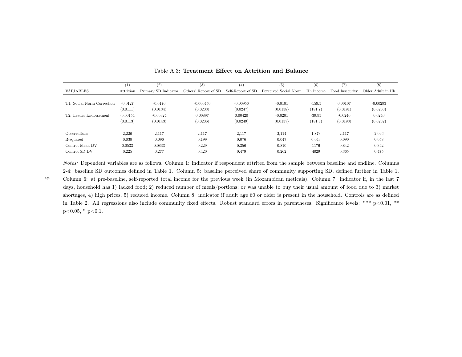|                            | (1)        | (2)                  | (3)                  | (4)               | (5)                   | (6)              | (7)             | (8)               |
|----------------------------|------------|----------------------|----------------------|-------------------|-----------------------|------------------|-----------------|-------------------|
| <b>VARIABLES</b>           | Attrition  | Primary SD Indicator | Others' Report of SD | Self-Report of SD | Perceived Social Norm | <b>Hh</b> Income | Food Insecurity | Older Adult in Hh |
|                            |            |                      |                      |                   |                       |                  |                 |                   |
| T1: Social Norm Correction | $-0.0127$  | $-0.0176$            | $-0.000450$          | $-0.00956$        | $-0.0101$             | $-159.5$         | 0.00107         | $-0.00293$        |
|                            | (0.0111)   | (0.0134)             | (0.0203)             | (0.0247)          | (0.0138)              | (181.7)          | (0.0191)        | (0.0250)          |
| T2: Leader Endorsement     | $-0.00154$ | $-0.00324$           | 0.00897              | 0.00420           | $-0.0201$             | $-39.95$         | $-0.0240$       | 0.0240            |
|                            | (0.0113)   | (0.0143)             | (0.0206)             | (0.0249)          | (0.0137)              | (181.8)          | (0.0193)        | (0.0252)          |
| <b>Observations</b>        | 2,226      | 2,117                | 2,117                | 2,117             | 2,114                 | 1,873            | 2,117           | 2,096             |
| R-squared                  | 0.030      | 0.096                | 0.199                | 0.076             | 0.047                 | 0.043            | 0.090           | 0.058             |
| Control Mean DV            | 0.0533     | 0.0833               | 0.229                | 0.356             | 0.810                 | 1176             | 0.842           | 0.342             |
| Control SD DV              | 0.225      | 0.277                | 0.420                | 0.479             | 0.262                 | 4029             | 0.365           | 0.475             |

#### <span id="page-32-0"></span>Table A.3: Treatment Effect on Attrition and Balance

Notes: Dependent variables are as follows. Column 1: indicator if respondent attrited from the sample between baseline and endline. Columns2-4: baseline SD outcomes defined in Table [1.](#page-22-1) Column 5: baseline perceived share of community supporting SD, defined further in Table [1.](#page-22-1)

Column 6: at pre-baseline, self-reported total income for the previous week (in Mozambican meticais). Column 7: indicator if, in the last <sup>7</sup>days, household has 1) lacked food; 2) reduced number of meals/portions; or was unable to buy their usual amount of food due to 3) marketshortages, 4) high prices, 5) reduced income. Column 8: indicator if adult age <sup>60</sup> or older is present in the household. Controls are as definedin Table [2.](#page-23-1) All regressions also include community fixed effects. Robust standard errors in parentheses. Significance levels: \*\*\* p<0.01, \*\*  $p<0.05$ , \*  $p<0.1$ .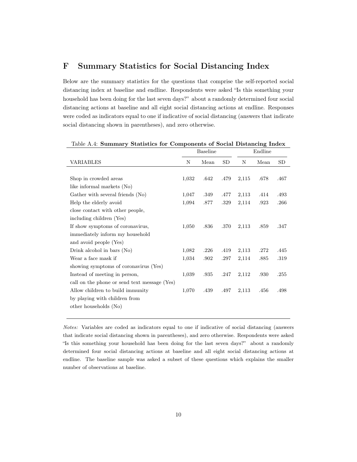# <span id="page-33-0"></span>F Summary Statistics for Social Distancing Index

Below are the summary statistics for the questions that comprise the self-reported social distancing index at baseline and endline. Respondents were asked "Is this something your household has been doing for the last seven days?" about a randomly determined four social distancing actions at baseline and all eight social distancing actions at endline. Responses were coded as indicators equal to one if indicative of social distancing (answers that indicate social distancing shown in parentheses), and zero otherwise.

|                                              | <b>Baseline</b> |      | Endline |       |      |      |
|----------------------------------------------|-----------------|------|---------|-------|------|------|
| VARIABLES                                    | N               | Mean | SD      | N     | Mean | SD   |
|                                              |                 |      |         |       |      |      |
| Shop in crowded areas                        | 1,032           | .642 | .479    | 2,115 | .678 | .467 |
| like informal markets (No)                   |                 |      |         |       |      |      |
| Gather with several friends (No)             | 1,047           | .349 | .477    | 2,113 | .414 | .493 |
| Help the elderly avoid                       | 1,094           | .877 | .329    | 2,114 | .923 | .266 |
| close contact with other people,             |                 |      |         |       |      |      |
| including children (Yes)                     |                 |      |         |       |      |      |
| If show symptoms of coronavirus,             | 1,050           | .836 | .370    | 2,113 | .859 | .347 |
| immediately inform my household              |                 |      |         |       |      |      |
| and avoid people (Yes)                       |                 |      |         |       |      |      |
| Drink alcohol in bars (No)                   | 1,082           | .226 | .419    | 2,113 | .272 | .445 |
| Wear a face mask if                          | 1,034           | .902 | .297    | 2,114 | .885 | .319 |
| showing symptoms of coronavirus (Yes)        |                 |      |         |       |      |      |
| Instead of meeting in person,                | 1,039           | .935 | .247    | 2,112 | .930 | .255 |
| call on the phone or send text message (Yes) |                 |      |         |       |      |      |
| Allow children to build immunity             | 1,070           | .439 | .497    | 2,113 | .456 | .498 |
| by playing with children from                |                 |      |         |       |      |      |
| other households (No)                        |                 |      |         |       |      |      |

| Table A.4: Summary Statistics for Components of Social Distancing Index |  |  |  |
|-------------------------------------------------------------------------|--|--|--|
|                                                                         |  |  |  |

Notes: Variables are coded as indicators equal to one if indicative of social distancing (answers that indicate social distancing shown in parentheses), and zero otherwise. Respondents were asked "Is this something your household has been doing for the last seven days?" about a randomly determined four social distancing actions at baseline and all eight social distancing actions at endline. The baseline sample was asked a subset of these questions which explains the smaller number of observations at baseline.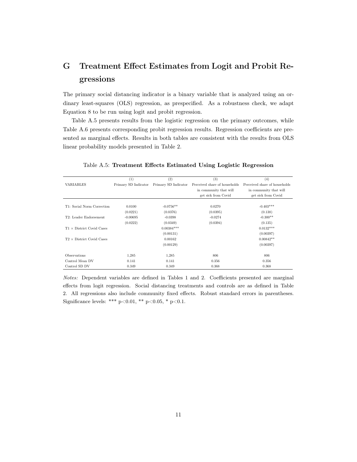# <span id="page-34-0"></span>G Treatment Effect Estimates from Logit and Probit Regressions

The primary social distancing indicator is a binary variable that is analyzed using an ordinary least-squares (OLS) regression, as prespecified. As a robustness check, we adapt Equation [8](#page-12-2) to be run using logit and probit regression.

Table [A.5](#page-34-1) presents results from the logistic regression on the primary outcomes, while Table [A.6](#page-35-0) presents corresponding probit regression results. Regression coefficients are presented as marginal effects. Results in both tables are consistent with the results from OLS linear probability models presented in Table [2.](#page-23-0)

|                                  | (1)                  | (2)                  | (3)                           | (4)                           |
|----------------------------------|----------------------|----------------------|-------------------------------|-------------------------------|
| <b>VARIABLES</b>                 | Primary SD Indicator | Primary SD Indicator | Perceived share of households | Perceived share of households |
|                                  |                      |                      | in community that will        | in community that will        |
|                                  |                      |                      | get sick from Covid           | get sick from Covid           |
|                                  |                      |                      |                               |                               |
| T1: Social Norm Correction       | 0.0100               | $-0.0756**$          | 0.0270                        | $-0.403***$                   |
|                                  | (0.0221)             | (0.0376)             | (0.0395)                      | (0.138)                       |
| T2: Leader Endorsement           | $-0.00695$           | $-0.0398$            | $-0.0274$                     | $-0.300**$                    |
|                                  | (0.0222)             | (0.0349)             | (0.0394)                      | (0.135)                       |
| $T1 \times$ District Covid Cases |                      | $0.00384***$         |                               | $0.0132***$                   |
|                                  |                      | (0.00131)            |                               | (0.00397)                     |
| $T2 \times$ District Covid Cases |                      | 0.00162              |                               | $0.00842**$                   |
|                                  |                      | (0.00129)            |                               | (0.00397)                     |
|                                  |                      |                      |                               |                               |
| Observations                     | 1,285                | 1,285                | 806                           | 806                           |
| Control Mean DV                  | 0.141                | 0.141                | 0.356                         | 0.356                         |
| Control SD DV                    | 0.349                | 0.349                | 0.368                         | 0.368                         |

#### <span id="page-34-1"></span>Table A.5: Treatment Effects Estimated Using Logistic Regression

Notes: Dependent variables are defined in Tables [1](#page-22-0) and [2.](#page-23-0) Coefficients presented are marginal effects from logit regression. Social distancing treatments and controls are as defined in Table [2.](#page-23-0) All regressions also include community fixed effects. Robust standard errors in parentheses. Significance levels: \*\*\*  $p<0.01$ , \*\*  $p<0.05$ , \*  $p<0.1$ .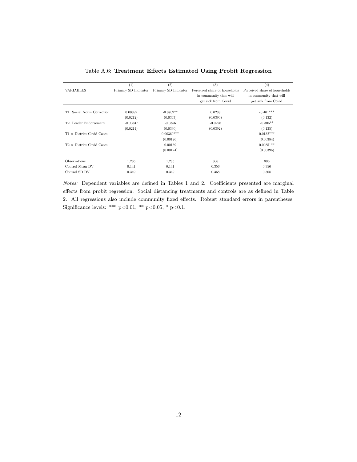|                                  | (1)                  | (2)                  | (3)                           | (4)                           |
|----------------------------------|----------------------|----------------------|-------------------------------|-------------------------------|
| <b>VARIABLES</b>                 | Primary SD Indicator | Primary SD Indicator | Perceived share of households | Perceived share of households |
|                                  |                      |                      | in community that will        | in community that will        |
|                                  |                      |                      | get sick from Covid           | get sick from Covid           |
|                                  |                      |                      |                               |                               |
| T1: Social Norm Correction       | 0.00892              | $-0.0709**$          | 0.0288                        | $-0.401***$                   |
|                                  | (0.0212)             | (0.0347)             | (0.0390)                      | (0.132)                       |
| T2: Leader Endorsement           | $-0.00837$           | $-0.0356$            | $-0.0298$                     | $-0.306**$                    |
|                                  | (0.0214)             | (0.0330)             | (0.0392)                      | (0.135)                       |
| $T1 \times$ District Covid Cases |                      | $0.00369***$         |                               | $0.0132***$                   |
|                                  |                      | (0.00126)            |                               | (0.00384)                     |
| $T2 \times$ District Covid Cases |                      | 0.00139              |                               | $0.00851**$                   |
|                                  |                      | (0.00124)            |                               | (0.00396)                     |
|                                  |                      |                      |                               |                               |
| <b>Observations</b>              | 1,285                | 1,285                | 806                           | 806                           |
| Control Mean DV                  | 0.141                | 0.141                | 0.356                         | 0.356                         |
| Control SD DV                    | 0.349                | 0.349                | 0.368                         | 0.368                         |
|                                  |                      |                      |                               |                               |

<span id="page-35-0"></span>Table A.6: Treatment Effects Estimated Using Probit Regression

Notes: Dependent variables are defined in Tables [1](#page-22-0) and [2.](#page-23-0) Coefficients presented are marginal effects from probit regression. Social distancing treatments and controls are as defined in Table [2.](#page-23-0) All regressions also include community fixed effects. Robust standard errors in parentheses. Significance levels: \*\*\* p<0.01, \*\* p<0.05, \* p<0.1.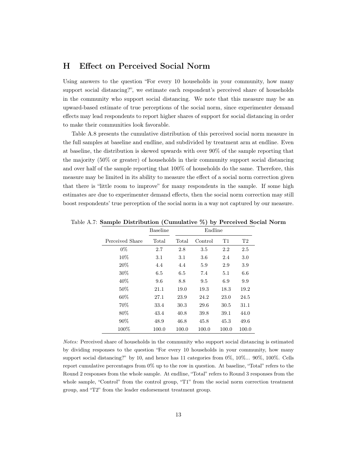## <span id="page-36-0"></span>H Effect on Perceived Social Norm

Using answers to the question "For every 10 households in your community, how many support social distancing?", we estimate each respondent's perceived share of households in the community who support social distancing. We note that this measure may be an upward-based estimate of true perceptions of the social norm, since experimenter demand effects may lead respondents to report higher shares of support for social distancing in order to make their communities look favorable.

Table A.8 presents the cumulative distribution of this perceived social norm measure in the full samples at baseline and endline, and subdivided by treatment arm at endline. Even at baseline, the distribution is skewed upwards with over 90% of the sample reporting that the majority (50% or greater) of households in their community support social distancing and over half of the sample reporting that 100% of households do the same. Therefore, this measure may be limited in its ability to measure the effect of a social norm correction given that there is "little room to improve" for many respondents in the sample. If some high estimates are due to experimenter demand effects, then the social norm correction may still boost respondents' true perception of the social norm in a way not captured by our measure.

<span id="page-36-1"></span>

|                 | <b>Baseline</b> | Endline |         |       |       |
|-----------------|-----------------|---------|---------|-------|-------|
| Perceived Share | Total           | Total   | Control | T1    | T2    |
| $0\%$           | 2.7             | 2.8     | 3.5     | 2.2   | 2.5   |
| 10%             | 3.1             | 3.1     | 3.6     | 2.4   | 3.0   |
| 20%             | 4.4             | 4.4     | 5.9     | 2.9   | 3.9   |
| $30\%$          | 6.5             | 6.5     | 7.4     | 5.1   | 6.6   |
| 40\%            | 9.6             | 8.8     | 9.5     | 6.9   | 9.9   |
| 50%             | 21.1            | 19.0    | 19.3    | 18.3  | 19.2  |
| $60\%$          | 27.1            | 23.9    | 24.2    | 23.0  | 24.5  |
| 70\%            | 33.4            | 30.3    | 29.6    | 30.5  | 31.1  |
| 80\%            | 43.4            | 40.8    | 39.8    | 39.1  | 44.0  |
| 90%             | 48.9            | 46.8    | 45.8    | 45.3  | 49.6  |
| 100%            | 100.0           | 100.0   | 100.0   | 100.0 | 100.0 |

Table A.7: Sample Distribution (Cumulative %) by Perceived Social Norm

Notes: Perceived share of households in the community who support social distancing is estimated by dividing responses to the question "For every 10 households in your community, how many support social distancing?" by 10, and hence has 11 categories from 0%, 10%... 90%, 100%. Cells report cumulative percentages from 0% up to the row in question. At baseline, "Total" refers to the Round 2 responses from the whole sample. At endline, "Total" refers to Round 3 responses from the whole sample, "Control" from the control group, "T1" from the social norm correction treatment group, and "T2" from the leader endorsement treatment group.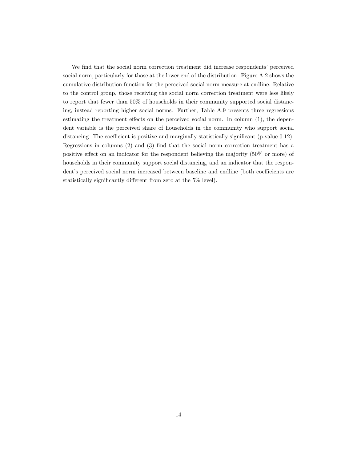We find that the social norm correction treatment did increase respondents' perceived social norm, particularly for those at the lower end of the distribution. Figure A.2 shows the cumulative distribution function for the perceived social norm measure at endline. Relative to the control group, those receiving the social norm correction treatment were less likely to report that fewer than 50% of households in their community supported social distancing, instead reporting higher social norms. Further, Table A.9 presents three regressions estimating the treatment effects on the perceived social norm. In column (1), the dependent variable is the perceived share of households in the community who support social distancing. The coefficient is positive and marginally statistically significant (p-value 0.12). Regressions in columns (2) and (3) find that the social norm correction treatment has a positive effect on an indicator for the respondent believing the majority (50% or more) of households in their community support social distancing, and an indicator that the respondent's perceived social norm increased between baseline and endline (both coefficients are statistically significantly different from zero at the 5% level).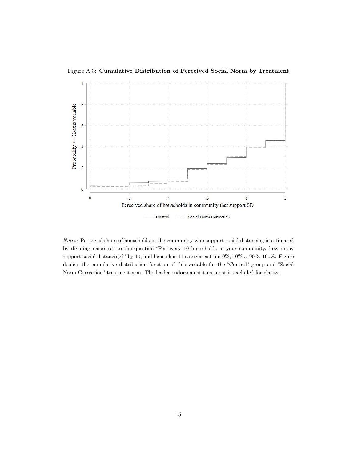<span id="page-38-0"></span>Figure A.3: Cumulative Distribution of Perceived Social Norm by Treatment



Notes: Perceived share of households in the community who support social distancing is estimated by dividing responses to the question "For every 10 households in your community, how many support social distancing?" by 10, and hence has 11 categories from 0%, 10%... 90%, 100%. Figure depicts the cumulative distribution function of this variable for the "Control" group and "Social Norm Correction" treatment arm. The leader endorsement treatment is excluded for clarity.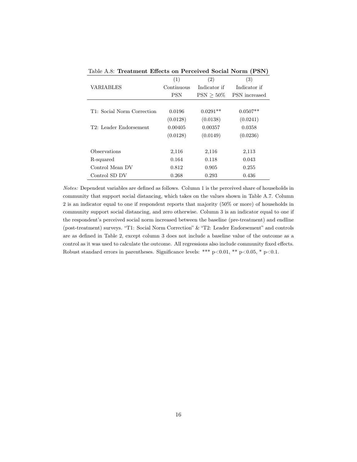|                            | (1)        | (2)          | (3)           |
|----------------------------|------------|--------------|---------------|
| VARIABLES                  | Continuous | Indicator if | Indicator if  |
|                            | <b>PSN</b> | $PSN > 50\%$ | PSN increased |
|                            |            |              |               |
| T1: Social Norm Correction | 0.0196     | $0.0291**$   | $0.0507**$    |
|                            | (0.0128)   | (0.0138)     | (0.0241)      |
| T2: Leader Endorsement     | 0.00405    | 0.00357      | 0.0358        |
|                            | (0.0128)   | (0.0149)     | (0.0236)      |
| Observations               | 2,116      | 2,116        | 2,113         |
| R-squared                  | 0.164      | 0.118        | 0.043         |
| Control Mean DV            | 0.812      | 0.905        | 0.255         |
| Control SD DV              | 0.268      | 0.293        | 0.436         |

Table A.8: Treatment Effects on Perceived Social Norm (PSN)

Notes: Dependent variables are defined as follows. Column 1 is the perceived share of households in community that support social distancing, which takes on the values shown in Table [A.7.](#page-36-1) Column 2 is an indicator equal to one if respondent reports that majority (50% or more) of households in community support social distancing, and zero otherwise. Column 3 is an indicator equal to one if the respondent's perceived social norm increased between the baseline (pre-treatment) and endline (post-treatment) surveys. "T1: Social Norm Correction" & "T2: Leader Endorsement" and controls are as defined in Table [2,](#page-23-0) except column 3 does not include a baseline value of the outcome as a control as it was used to calculate the outcome. All regressions also include community fixed effects. Robust standard errors in parentheses. Significance levels: \*\*\* p<0.01, \*\* p<0.05, \* p<0.1.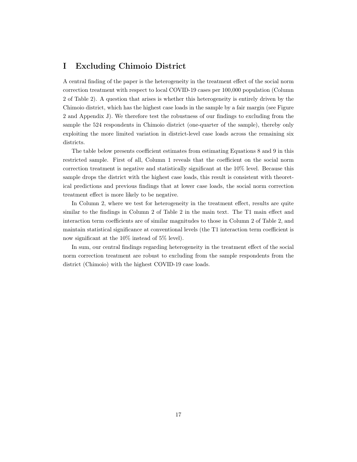# <span id="page-40-0"></span>I Excluding Chimoio District

A central finding of the paper is the heterogeneity in the treatment effect of the social norm correction treatment with respect to local COVID-19 cases per 100,000 population (Column 2 of Table [2\)](#page-23-0). A question that arises is whether this heterogeneity is entirely driven by the Chimoio district, which has the highest case loads in the sample by a fair margin (see Figure [2](#page-21-0) and Appendix [J\)](#page-42-0). We therefore test the robustness of our findings to excluding from the sample the 524 respondents in Chimoio district (one-quarter of the sample), thereby only exploiting the more limited variation in district-level case loads across the remaining six districts.

The table below presents coefficient estimates from estimating Equations [8](#page-12-2) and [9](#page-12-3) in this restricted sample. First of all, Column 1 reveals that the coefficient on the social norm correction treatment is negative and statistically significant at the 10% level. Because this sample drops the district with the highest case loads, this result is consistent with theoretical predictions and previous findings that at lower case loads, the social norm correction treatment effect is more likely to be negative.

In Column 2, where we test for heterogeneity in the treatment effect, results are quite similar to the findings in Column 2 of Table [2](#page-23-0) in the main text. The T1 main effect and interaction term coefficients are of similar magnitudes to those in Column 2 of Table [2,](#page-23-0) and maintain statistical significance at conventional levels (the T1 interaction term coefficient is now significant at the 10% instead of 5% level).

In sum, our central findings regarding heterogeneity in the treatment effect of the social norm correction treatment are robust to excluding from the sample respondents from the district (Chimoio) with the highest COVID-19 case loads.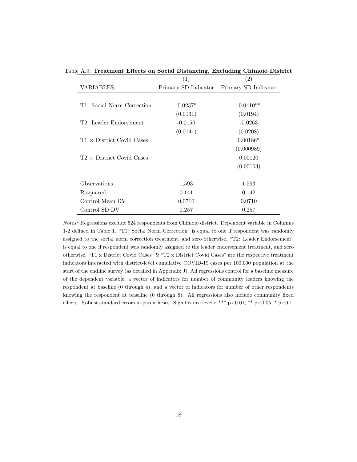|                                  | (1)                  | $\left( 2\right)$    |
|----------------------------------|----------------------|----------------------|
| VARIABLES                        | Primary SD Indicator | Primary SD Indicator |
|                                  |                      |                      |
| T1: Social Norm Correction       | $-0.0237*$           | $-0.0410**$          |
|                                  | (0.0131)             | (0.0194)             |
| T2: Leader Endorsement           | $-0.0150$            | $-0.0263$            |
|                                  | (0.0141)             | (0.0208)             |
| $T1 \times$ District Covid Cases |                      | $0.00186*$           |
|                                  |                      | (0.000989)           |
| $T2 \times$ District Covid Cases |                      | 0.00120              |
|                                  |                      | (0.00103)            |
| Observations                     | 1,593                | 1,593                |
| R-squared                        | 0.141                | 0.142                |
| Control Mean DV                  | 0.0710               | 0.0710               |
| Control SD DV                    | 0.257                | 0.257                |

Table A.9: Treatment Effects on Social Distancing, Excluding Chimoio District

Notes: Regressions exclude 524 respondents from Chimoio district. Dependent variable in Columns 1-2 defined in Table [1.](#page-22-0) "T1: Social Norm Correction" is equal to one if respondent was randomly assigned to the social norm correction treatment, and zero otherwise. "T2: Leader Endorsement" is equal to one if respondent was randomly assigned to the leader endorsement treatment, and zero otherwise. "T1 x District Covid Cases" & "T2 x District Covid Cases" are the respective treatment indicators interacted with district-level cumulative COVID-19 cases per 100,000 population at the start of the endline survey (as detailed in Appendix [J\)](#page-42-0). All regressions control for a baseline measure of the dependent variable, a vector of indicators for number of community leaders knowing the respondent at baseline (0 through 4), and a vector of indicators for number of other respondents knowing the respondent at baseline (0 through 8). All regressions also include community fixed effects. Robust standard errors in parentheses. Significance levels: \*\*\*  $p<0.01$ , \*\*  $p<0.05$ , \*  $p<0.1$ .